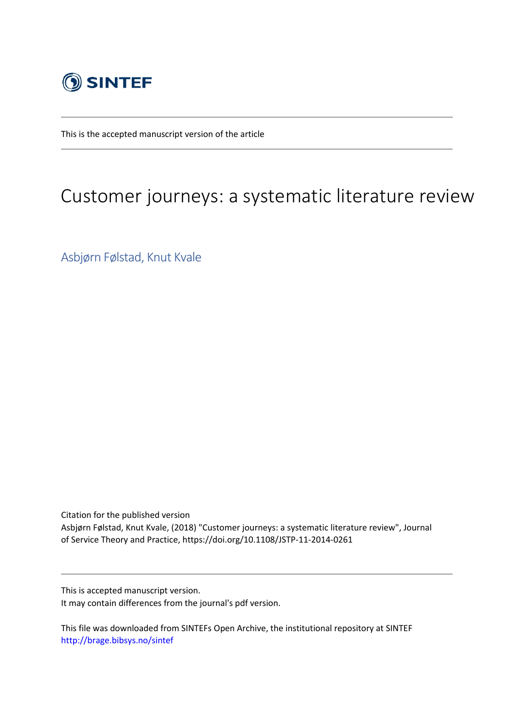

This is the accepted manuscript version of the article

# Customer journeys: a systematic literature review

Asbjørn Følstad, Knut Kvale

Citation for the published version Asbjørn Følstad, Knut Kvale, (2018) "Customer journeys: a systematic literature review", Journal of Service Theory and Practice, https://doi.org/10.1108/JSTP-11-2014-0261

This is accepted manuscript version. It may contain differences from the journal's pdf version.

This file was downloaded from SINTEFs Open Archive, the institutional repository at SINTEF http://brage.bibsys.no/sintef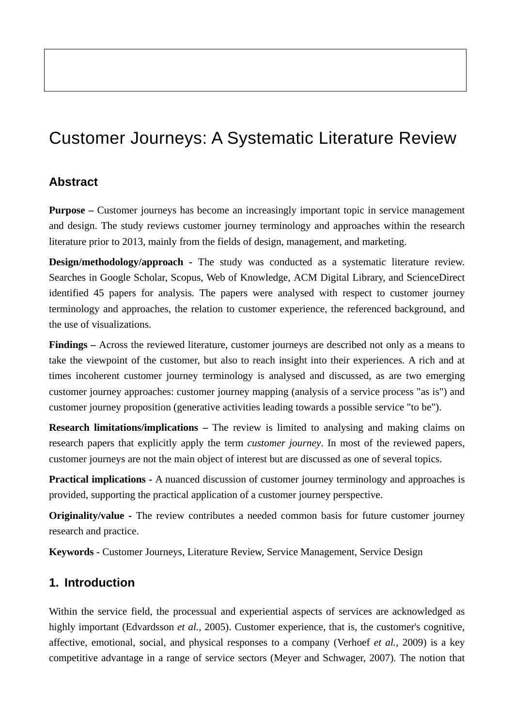## Customer Journeys: A Systematic Literature Review

## **Abstract**

**Purpose** – Customer journeys has become an increasingly important topic in service management and design. The study reviews customer journey terminology and approaches within the research literature prior to 2013, mainly from the fields of design, management, and marketing.

**Design/methodology/approach -** The study was conducted as a systematic literature review. Searches in Google Scholar, Scopus, Web of Knowledge, ACM Digital Library, and ScienceDirect identified 45 papers for analysis. The papers were analysed with respect to customer journey terminology and approaches, the relation to customer experience, the referenced background, and the use of visualizations.

**Findings –** Across the reviewed literature, customer journeys are described not only as a means to take the viewpoint of the customer, but also to reach insight into their experiences. A rich and at times incoherent customer journey terminology is analysed and discussed, as are two emerging customer journey approaches: customer journey mapping (analysis of a service process "as is") and customer journey proposition (generative activities leading towards a possible service "to be").

**Research limitations/implications – The review is limited to analysing and making claims on** research papers that explicitly apply the term *customer journey*. In most of the reviewed papers, customer journeys are not the main object of interest but are discussed as one of several topics.

**Practical implications -** A nuanced discussion of customer journey terminology and approaches is provided, supporting the practical application of a customer journey perspective.

**Originality/value -** The review contributes a needed common basis for future customer journey research and practice.

**Keywords** - Customer Journeys, Literature Review, Service Management, Service Design

## **1. Introduction**

Within the service field, the processual and experiential aspects of services are acknowledged as highly important (Edvardsson *et al.*, 2005). Customer experience, that is, the customer's cognitive, affective, emotional, social, and physical responses to a company (Verhoef *et al.*, 2009) is a key competitive advantage in a range of service sectors (Meyer and Schwager, 2007). The notion that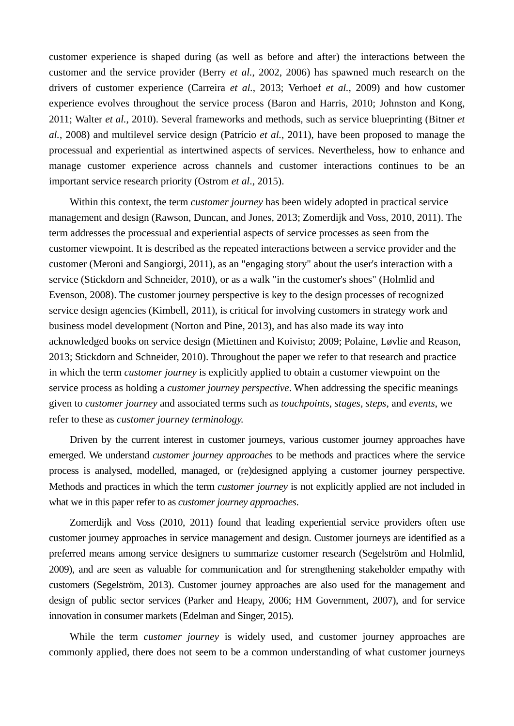customer experience is shaped during (as well as before and after) the interactions between the customer and the service provider (Berry *et al.*, 2002, 2006) has spawned much research on the drivers of customer experience (Carreira *et al.*, 2013; Verhoef *et al.*, 2009) and how customer experience evolves throughout the service process (Baron and Harris, 2010; Johnston and Kong, 2011; Walter *et al.*, 2010). Several frameworks and methods, such as service blueprinting (Bitner *et al.*, 2008) and multilevel service design (Patrício *et al.*, 2011), have been proposed to manage the processual and experiential as intertwined aspects of services. Nevertheless, how to enhance and manage customer experience across channels and customer interactions continues to be an important service research priority (Ostrom *et al*., 2015).

Within this context, the term *customer journey* has been widely adopted in practical service management and design (Rawson, Duncan, and Jones, 2013; Zomerdijk and Voss, 2010, 2011). The term addresses the processual and experiential aspects of service processes as seen from the customer viewpoint. It is described as the repeated interactions between a service provider and the customer (Meroni and Sangiorgi, 2011), as an "engaging story" about the user's interaction with a service (Stickdorn and Schneider, 2010), or as a walk "in the customer's shoes" (Holmlid and Evenson, 2008). The customer journey perspective is key to the design processes of recognized service design agencies (Kimbell, 2011), is critical for involving customers in strategy work and business model development (Norton and Pine, 2013), and has also made its way into acknowledged books on service design (Miettinen and Koivisto; 2009; Polaine, Løvlie and Reason, 2013; Stickdorn and Schneider, 2010). Throughout the paper we refer to that research and practice in which the term *customer journey* is explicitly applied to obtain a customer viewpoint on the service process as holding a *customer journey perspective*. When addressing the specific meanings given to *customer journey* and associated terms such as *touchpoints*, *stages*, *steps*, and *events*, we refer to these as *customer journey terminology.*

Driven by the current interest in customer journeys, various customer journey approaches have emerged. We understand *customer journey approaches* to be methods and practices where the service process is analysed, modelled, managed, or (re)designed applying a customer journey perspective. Methods and practices in which the term *customer journey* is not explicitly applied are not included in what we in this paper refer to as *customer journey approaches*.

Zomerdijk and Voss (2010, 2011) found that leading experiential service providers often use customer journey approaches in service management and design. Customer journeys are identified as a preferred means among service designers to summarize customer research (Segelström and Holmlid, 2009), and are seen as valuable for communication and for strengthening stakeholder empathy with customers (Segelström, 2013). Customer journey approaches are also used for the management and design of public sector services (Parker and Heapy, 2006; HM Government, 2007), and for service innovation in consumer markets (Edelman and Singer, 2015).

While the term *customer journey* is widely used, and customer journey approaches are commonly applied, there does not seem to be a common understanding of what customer journeys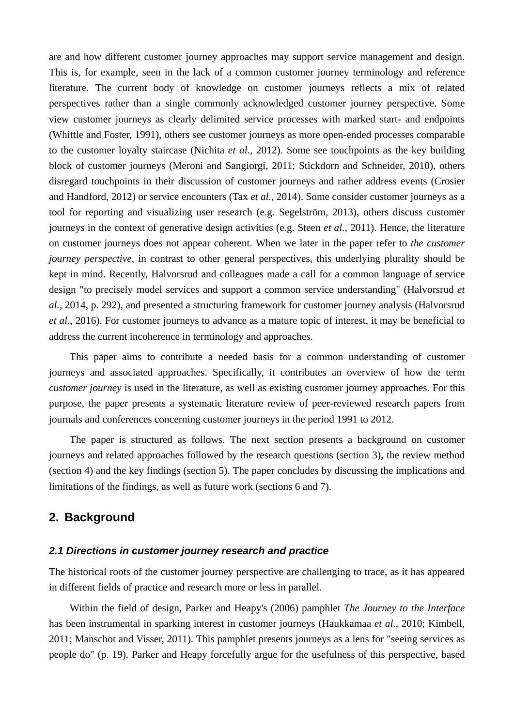are and how different customer journey approaches may support service management and design. This is, for example, seen in the lack of a common customer journey terminology and reference literature. The current body of knowledge on customer journeys reflects a mix of related perspectives rather than a single commonly acknowledged customer journey perspective. Some view customer journeys as clearly delimited service processes with marked start- and endpoints (Whittle and Foster, 1991), others see customer journeys as more open-ended processes comparable to the customer loyalty staircase (Nichita *et al.*, 2012). Some see touchpoints as the key building block of customer journeys (Meroni and Sangiorgi, 2011; Stickdorn and Schneider, 2010), others disregard touchpoints in their discussion of customer journeys and rather address events (Crosier and Handford, 2012) or service encounters (Tax *et al.*, 2014). Some consider customer journeys as a tool for reporting and visualizing user research (e.g. Segelström, 2013), others discuss customer journeys in the context of generative design activities (e.g. Steen *et al.*, 2011). Hence, the literature on customer journeys does not appear coherent. When we later in the paper refer to *the customer journey perspective,* in contrast to other general perspectives, this underlying plurality should be kept in mind. Recently, Halvorsrud and colleagues made a call for a common language of service design "to precisely model services and support a common service understanding" (Halvorsrud *et al.*, 2014, p. 292), and presented a structuring framework for customer journey analysis (Halvorsrud *et al.*, 2016). For customer journeys to advance as a mature topic of interest, it may be beneficial to address the current incoherence in terminology and approaches.

This paper aims to contribute a needed basis for a common understanding of customer journeys and associated approaches. Specifically, it contributes an overview of how the term *customer journey* is used in the literature, as well as existing customer journey approaches. For this purpose, the paper presents a systematic literature review of peer-reviewed research papers from journals and conferences concerning customer journeys in the period 1991 to 2012.

The paper is structured as follows. The next section presents a background on customer journeys and related approaches followed by the research questions (section 3), the review method (section 4) and the key findings (section 5). The paper concludes by discussing the implications and limitations of the findings, as well as future work (sections 6 and 7).

## **2. Background**

#### *2.1 Directions in customer journey research and practice*

The historical roots of the customer journey perspective are challenging to trace, as it has appeared in different fields of practice and research more or less in parallel.

Within the field of design, Parker and Heapy's (2006) pamphlet *The Journey to the Interface* has been instrumental in sparking interest in customer journeys (Haukkamaa *et al.*, 2010; Kimbell, 2011; Manschot and Visser, 2011). This pamphlet presents journeys as a lens for "seeing services as people do" (p. 19). Parker and Heapy forcefully argue for the usefulness of this perspective, based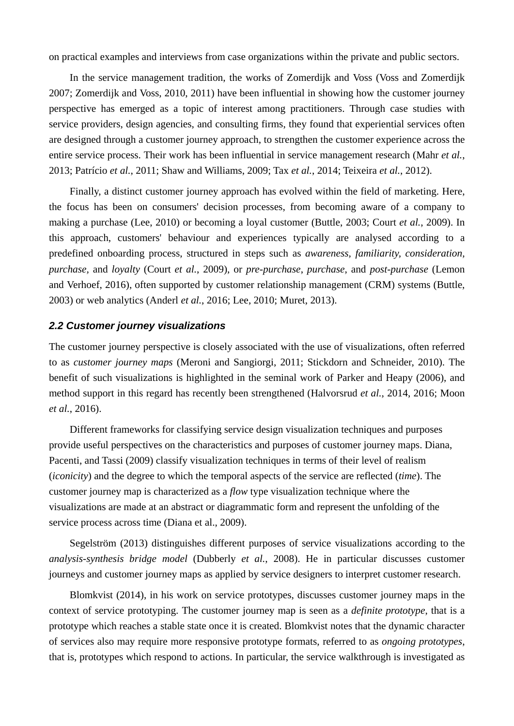on practical examples and interviews from case organizations within the private and public sectors.

In the service management tradition, the works of Zomerdijk and Voss (Voss and Zomerdijk 2007; Zomerdijk and Voss, 2010, 2011) have been influential in showing how the customer journey perspective has emerged as a topic of interest among practitioners. Through case studies with service providers, design agencies, and consulting firms, they found that experiential services often are designed through a customer journey approach, to strengthen the customer experience across the entire service process. Their work has been influential in service management research (Mahr *et al.*, 2013; Patrício *et al.*, 2011; Shaw and Williams, 2009; Tax *et al.*, 2014; Teixeira *et al.*, 2012).

Finally, a distinct customer journey approach has evolved within the field of marketing. Here, the focus has been on consumers' decision processes, from becoming aware of a company to making a purchase (Lee, 2010) or becoming a loyal customer (Buttle, 2003; Court *et al.*, 2009). In this approach, customers' behaviour and experiences typically are analysed according to a predefined onboarding process, structured in steps such as *awareness, familiarity, consideration, purchase,* and *loyalty* (Court *et al.*, 2009), or *pre-purchase*, *purchase*, and *post-purchase* (Lemon and Verhoef, 2016), often supported by customer relationship management (CRM) systems (Buttle, 2003) or web analytics (Anderl *et al.*, 2016; Lee, 2010; Muret, 2013).

#### *2.2 Customer journey visualizations*

The customer journey perspective is closely associated with the use of visualizations, often referred to as *customer journey maps* (Meroni and Sangiorgi, 2011; Stickdorn and Schneider, 2010). The benefit of such visualizations is highlighted in the seminal work of Parker and Heapy (2006), and method support in this regard has recently been strengthened (Halvorsrud *et al.*, 2014, 2016; Moon *et al.*, 2016).

Different frameworks for classifying service design visualization techniques and purposes provide useful perspectives on the characteristics and purposes of customer journey maps. Diana, Pacenti, and Tassi (2009) classify visualization techniques in terms of their level of realism (*iconicity*) and the degree to which the temporal aspects of the service are reflected (*time*). The customer journey map is characterized as a *flow* type visualization technique where the visualizations are made at an abstract or diagrammatic form and represent the unfolding of the service process across time (Diana et al., 2009).

Segelström (2013) distinguishes different purposes of service visualizations according to the *analysis-synthesis bridge model* (Dubberly *et al.*, 2008). He in particular discusses customer journeys and customer journey maps as applied by service designers to interpret customer research.

Blomkvist (2014), in his work on service prototypes, discusses customer journey maps in the context of service prototyping. The customer journey map is seen as a *definite prototype*, that is a prototype which reaches a stable state once it is created. Blomkvist notes that the dynamic character of services also may require more responsive prototype formats, referred to as *ongoing prototypes*, that is, prototypes which respond to actions. In particular, the service walkthrough is investigated as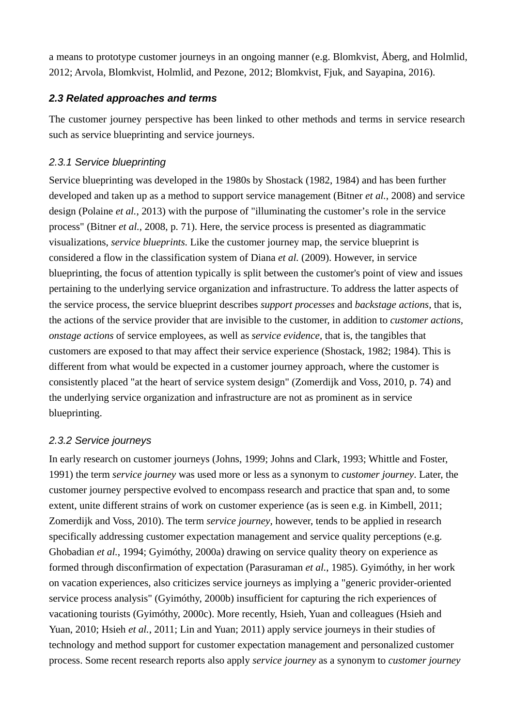a means to prototype customer journeys in an ongoing manner (e.g. Blomkvist, Åberg, and Holmlid, 2012; Arvola, Blomkvist, Holmlid, and Pezone, 2012; Blomkvist, Fjuk, and Sayapina, 2016).

### *2.3 Related approaches and terms*

The customer journey perspective has been linked to other methods and terms in service research such as service blueprinting and service journeys.

## *2.3.1 Service blueprinting*

Service blueprinting was developed in the 1980s by Shostack (1982, 1984) and has been further developed and taken up as a method to support service management (Bitner *et al.*, 2008) and service design (Polaine *et al.*, 2013) with the purpose of "illuminating the customer's role in the service process" (Bitner *et al.*, 2008, p. 71). Here, the service process is presented as diagrammatic visualizations, *service blueprints.* Like the customer journey map, the service blueprint is considered a flow in the classification system of Diana *et al.* (2009). However, in service blueprinting, the focus of attention typically is split between the customer's point of view and issues pertaining to the underlying service organization and infrastructure. To address the latter aspects of the service process, the service blueprint describes *support processes* and *backstage actions*, that is, the actions of the service provider that are invisible to the customer, in addition to *customer actions, onstage actions* of service employees, as well as *service evidence*, that is, the tangibles that customers are exposed to that may affect their service experience (Shostack, 1982; 1984). This is different from what would be expected in a customer journey approach, where the customer is consistently placed "at the heart of service system design" (Zomerdijk and Voss, 2010, p. 74) and the underlying service organization and infrastructure are not as prominent as in service blueprinting.

## *2.3.2 Service journeys*

In early research on customer journeys (Johns, 1999; Johns and Clark, 1993; Whittle and Foster, 1991) the term *service journey* was used more or less as a synonym to *customer journey*. Later, the customer journey perspective evolved to encompass research and practice that span and, to some extent, unite different strains of work on customer experience (as is seen e.g. in Kimbell, 2011; Zomerdijk and Voss, 2010). The term *service journey*, however, tends to be applied in research specifically addressing customer expectation management and service quality perceptions (e.g. Ghobadian *et al.*, 1994; Gyimóthy, 2000a) drawing on service quality theory on experience as formed through disconfirmation of expectation (Parasuraman *et al.*, 1985). Gyimóthy, in her work on vacation experiences, also criticizes service journeys as implying a "generic provider-oriented service process analysis" (Gyimóthy, 2000b) insufficient for capturing the rich experiences of vacationing tourists (Gyimóthy, 2000c). More recently, Hsieh, Yuan and colleagues (Hsieh and Yuan, 2010; Hsieh *et al.*, 2011; Lin and Yuan; 2011) apply service journeys in their studies of technology and method support for customer expectation management and personalized customer process. Some recent research reports also apply *service journey* as a synonym to *customer journey*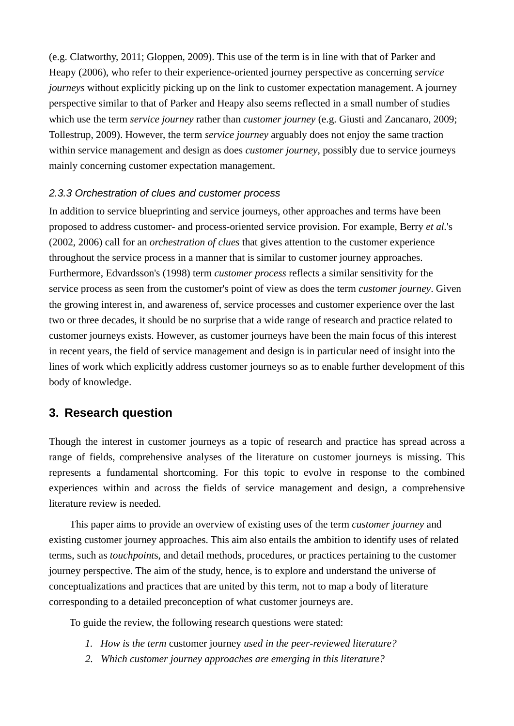(e.g. Clatworthy, 2011; Gloppen, 2009). This use of the term is in line with that of Parker and Heapy (2006), who refer to their experience-oriented journey perspective as concerning *service journeys* without explicitly picking up on the link to customer expectation management. A journey perspective similar to that of Parker and Heapy also seems reflected in a small number of studies which use the term *service journey* rather than *customer journey* (e.g. Giusti and Zancanaro, 2009; Tollestrup, 2009). However, the term *service journey* arguably does not enjoy the same traction within service management and design as does *customer journey*, possibly due to service journeys mainly concerning customer expectation management.

#### *2.3.3 Orchestration of clues and customer process*

In addition to service blueprinting and service journeys, other approaches and terms have been proposed to address customer- and process-oriented service provision. For example, Berry *et al.*'s (2002, 2006) call for an *orchestration of clues* that gives attention to the customer experience throughout the service process in a manner that is similar to customer journey approaches. Furthermore, Edvardsson's (1998) term *customer process* reflects a similar sensitivity for the service process as seen from the customer's point of view as does the term *customer journey*. Given the growing interest in, and awareness of, service processes and customer experience over the last two or three decades, it should be no surprise that a wide range of research and practice related to customer journeys exists. However, as customer journeys have been the main focus of this interest in recent years, the field of service management and design is in particular need of insight into the lines of work which explicitly address customer journeys so as to enable further development of this body of knowledge.

## **3. Research question**

Though the interest in customer journeys as a topic of research and practice has spread across a range of fields, comprehensive analyses of the literature on customer journeys is missing. This represents a fundamental shortcoming. For this topic to evolve in response to the combined experiences within and across the fields of service management and design, a comprehensive literature review is needed.

This paper aims to provide an overview of existing uses of the term *customer journey* and existing customer journey approaches. This aim also entails the ambition to identify uses of related terms, such as *touchpoint*s, and detail methods, procedures, or practices pertaining to the customer journey perspective. The aim of the study, hence, is to explore and understand the universe of conceptualizations and practices that are united by this term, not to map a body of literature corresponding to a detailed preconception of what customer journeys are.

To guide the review, the following research questions were stated:

- *1. How is the term* customer journey *used in the peer-reviewed literature?*
- *2. Which customer journey approaches are emerging in this literature?*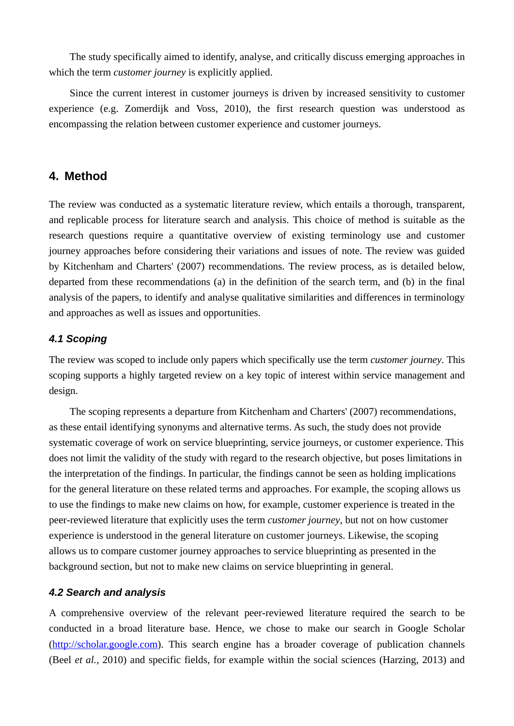The study specifically aimed to identify, analyse, and critically discuss emerging approaches in which the term *customer journey* is explicitly applied.

Since the current interest in customer journeys is driven by increased sensitivity to customer experience (e.g. Zomerdijk and Voss, 2010), the first research question was understood as encompassing the relation between customer experience and customer journeys.

### **4. Method**

The review was conducted as a systematic literature review, which entails a thorough, transparent, and replicable process for literature search and analysis. This choice of method is suitable as the research questions require a quantitative overview of existing terminology use and customer journey approaches before considering their variations and issues of note. The review was guided by Kitchenham and Charters' (2007) recommendations. The review process, as is detailed below, departed from these recommendations (a) in the definition of the search term, and (b) in the final analysis of the papers, to identify and analyse qualitative similarities and differences in terminology and approaches as well as issues and opportunities.

#### *4.1 Scoping*

The review was scoped to include only papers which specifically use the term *customer journey*. This scoping supports a highly targeted review on a key topic of interest within service management and design.

The scoping represents a departure from Kitchenham and Charters' (2007) recommendations, as these entail identifying synonyms and alternative terms. As such, the study does not provide systematic coverage of work on service blueprinting, service journeys, or customer experience. This does not limit the validity of the study with regard to the research objective, but poses limitations in the interpretation of the findings. In particular, the findings cannot be seen as holding implications for the general literature on these related terms and approaches. For example, the scoping allows us to use the findings to make new claims on how, for example, customer experience is treated in the peer-reviewed literature that explicitly uses the term *customer journey*, but not on how customer experience is understood in the general literature on customer journeys. Likewise, the scoping allows us to compare customer journey approaches to service blueprinting as presented in the background section, but not to make new claims on service blueprinting in general.

#### *4.2 Search and analysis*

A comprehensive overview of the relevant peer-reviewed literature required the search to be conducted in a broad literature base. Hence, we chose to make our search in Google Scholar [\(http://scholar.google.com\)](http://scholar.google.com/). This search engine has a broader coverage of publication channels (Beel *et al.*, 2010) and specific fields, for example within the social sciences (Harzing, 2013) and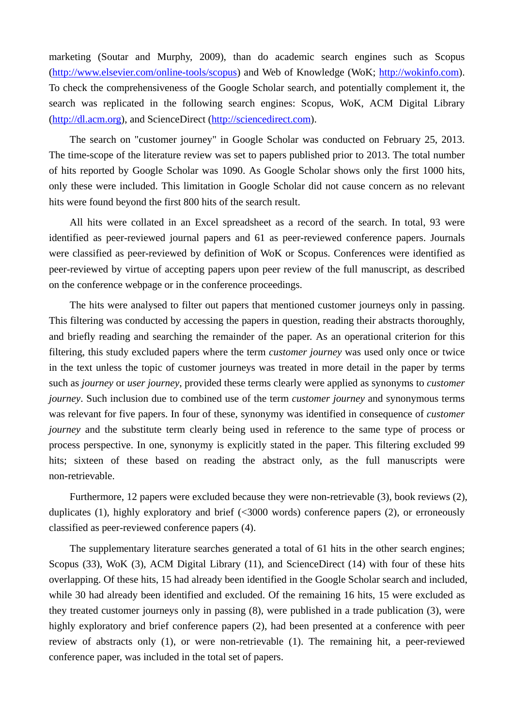marketing (Soutar and Murphy, 2009), than do academic search engines such as Scopus [\(http://www.elsevier.com/online-tools/scopus\)](http://www.elsevier.com/online-tools/scopus) and Web of Knowledge (WoK; [http://wokinfo.com\)](http://wokinfo.com/). To check the comprehensiveness of the Google Scholar search, and potentially complement it, the search was replicated in the following search engines: Scopus, WoK, ACM Digital Library [\(http://dl.acm.org\)](http://dl.acm.org/), and ScienceDirect [\(http://sciencedirect.com\)](http://sciencedirect.com/).

The search on "customer journey" in Google Scholar was conducted on February 25, 2013. The time-scope of the literature review was set to papers published prior to 2013. The total number of hits reported by Google Scholar was 1090. As Google Scholar shows only the first 1000 hits, only these were included. This limitation in Google Scholar did not cause concern as no relevant hits were found beyond the first 800 hits of the search result.

All hits were collated in an Excel spreadsheet as a record of the search. In total, 93 were identified as peer-reviewed journal papers and 61 as peer-reviewed conference papers. Journals were classified as peer-reviewed by definition of WoK or Scopus. Conferences were identified as peer-reviewed by virtue of accepting papers upon peer review of the full manuscript, as described on the conference webpage or in the conference proceedings.

The hits were analysed to filter out papers that mentioned customer journeys only in passing. This filtering was conducted by accessing the papers in question, reading their abstracts thoroughly, and briefly reading and searching the remainder of the paper. As an operational criterion for this filtering, this study excluded papers where the term *customer journey* was used only once or twice in the text unless the topic of customer journeys was treated in more detail in the paper by terms such as *journey* or *user journey*, provided these terms clearly were applied as synonyms to *customer journey*. Such inclusion due to combined use of the term *customer journey* and synonymous terms was relevant for five papers. In four of these, synonymy was identified in consequence of *customer journey* and the substitute term clearly being used in reference to the same type of process or process perspective. In one, synonymy is explicitly stated in the paper. This filtering excluded 99 hits; sixteen of these based on reading the abstract only, as the full manuscripts were non-retrievable.

Furthermore, 12 papers were excluded because they were non-retrievable (3), book reviews (2), duplicates (1), highly exploratory and brief  $\langle$  <3000 words) conference papers (2), or erroneously classified as peer-reviewed conference papers (4).

The supplementary literature searches generated a total of 61 hits in the other search engines; Scopus (33), WoK (3), ACM Digital Library (11), and ScienceDirect (14) with four of these hits overlapping. Of these hits, 15 had already been identified in the Google Scholar search and included, while 30 had already been identified and excluded. Of the remaining 16 hits, 15 were excluded as they treated customer journeys only in passing (8), were published in a trade publication (3), were highly exploratory and brief conference papers (2), had been presented at a conference with peer review of abstracts only (1), or were non-retrievable (1). The remaining hit, a peer-reviewed conference paper, was included in the total set of papers.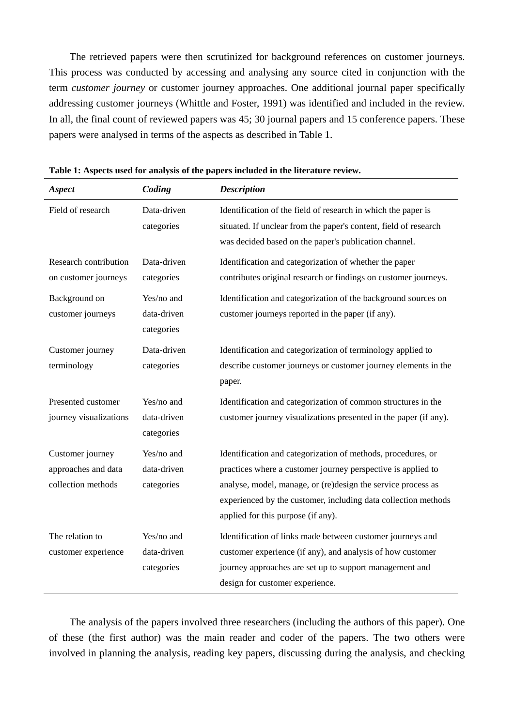The retrieved papers were then scrutinized for background references on customer journeys. This process was conducted by accessing and analysing any source cited in conjunction with the term *customer journey* or customer journey approaches. One additional journal paper specifically addressing customer journeys (Whittle and Foster, 1991) was identified and included in the review. In all, the final count of reviewed papers was 45; 30 journal papers and 15 conference papers. These papers were analysed in terms of the aspects as described in Table 1.

| Aspect                                                        | Coding                                  | <b>Description</b>                                                                                                                                                                                                                                                                                   |
|---------------------------------------------------------------|-----------------------------------------|------------------------------------------------------------------------------------------------------------------------------------------------------------------------------------------------------------------------------------------------------------------------------------------------------|
| Field of research                                             | Data-driven<br>categories               | Identification of the field of research in which the paper is<br>situated. If unclear from the paper's content, field of research<br>was decided based on the paper's publication channel.                                                                                                           |
| Research contribution<br>on customer journeys                 | Data-driven<br>categories               | Identification and categorization of whether the paper<br>contributes original research or findings on customer journeys.                                                                                                                                                                            |
| Background on<br>customer journeys                            | Yes/no and<br>data-driven<br>categories | Identification and categorization of the background sources on<br>customer journeys reported in the paper (if any).                                                                                                                                                                                  |
| Customer journey<br>terminology                               | Data-driven<br>categories               | Identification and categorization of terminology applied to<br>describe customer journeys or customer journey elements in the<br>paper.                                                                                                                                                              |
| Presented customer<br>journey visualizations                  | Yes/no and<br>data-driven<br>categories | Identification and categorization of common structures in the<br>customer journey visualizations presented in the paper (if any).                                                                                                                                                                    |
| Customer journey<br>approaches and data<br>collection methods | Yes/no and<br>data-driven<br>categories | Identification and categorization of methods, procedures, or<br>practices where a customer journey perspective is applied to<br>analyse, model, manage, or (re)design the service process as<br>experienced by the customer, including data collection methods<br>applied for this purpose (if any). |
| The relation to<br>customer experience                        | Yes/no and<br>data-driven<br>categories | Identification of links made between customer journeys and<br>customer experience (if any), and analysis of how customer<br>journey approaches are set up to support management and<br>design for customer experience.                                                                               |

The analysis of the papers involved three researchers (including the authors of this paper). One of these (the first author) was the main reader and coder of the papers. The two others were involved in planning the analysis, reading key papers, discussing during the analysis, and checking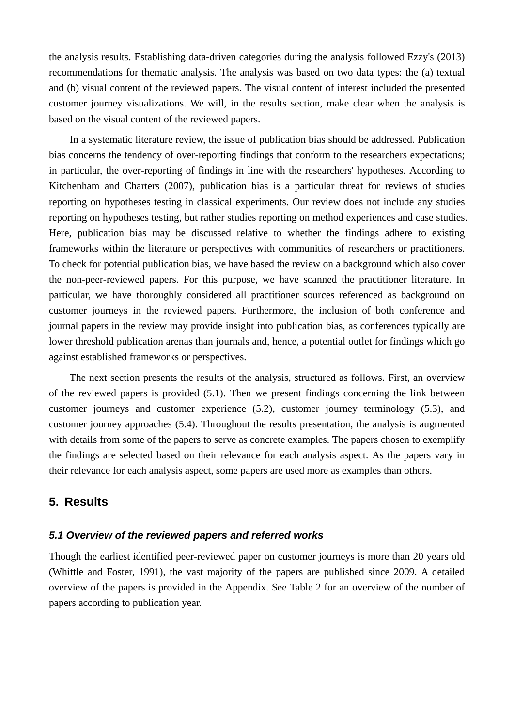the analysis results. Establishing data-driven categories during the analysis followed Ezzy's (2013) recommendations for thematic analysis. The analysis was based on two data types: the (a) textual and (b) visual content of the reviewed papers. The visual content of interest included the presented customer journey visualizations. We will, in the results section, make clear when the analysis is based on the visual content of the reviewed papers.

In a systematic literature review, the issue of publication bias should be addressed. Publication bias concerns the tendency of over-reporting findings that conform to the researchers expectations; in particular, the over-reporting of findings in line with the researchers' hypotheses. According to Kitchenham and Charters (2007), publication bias is a particular threat for reviews of studies reporting on hypotheses testing in classical experiments. Our review does not include any studies reporting on hypotheses testing, but rather studies reporting on method experiences and case studies. Here, publication bias may be discussed relative to whether the findings adhere to existing frameworks within the literature or perspectives with communities of researchers or practitioners. To check for potential publication bias, we have based the review on a background which also cover the non-peer-reviewed papers. For this purpose, we have scanned the practitioner literature. In particular, we have thoroughly considered all practitioner sources referenced as background on customer journeys in the reviewed papers. Furthermore, the inclusion of both conference and journal papers in the review may provide insight into publication bias, as conferences typically are lower threshold publication arenas than journals and, hence, a potential outlet for findings which go against established frameworks or perspectives.

The next section presents the results of the analysis, structured as follows. First, an overview of the reviewed papers is provided (5.1). Then we present findings concerning the link between customer journeys and customer experience (5.2), customer journey terminology (5.3), and customer journey approaches (5.4). Throughout the results presentation, the analysis is augmented with details from some of the papers to serve as concrete examples. The papers chosen to exemplify the findings are selected based on their relevance for each analysis aspect. As the papers vary in their relevance for each analysis aspect, some papers are used more as examples than others.

## **5. Results**

#### *5.1 Overview of the reviewed papers and referred works*

Though the earliest identified peer-reviewed paper on customer journeys is more than 20 years old (Whittle and Foster, 1991), the vast majority of the papers are published since 2009. A detailed overview of the papers is provided in the Appendix. See Table 2 for an overview of the number of papers according to publication year.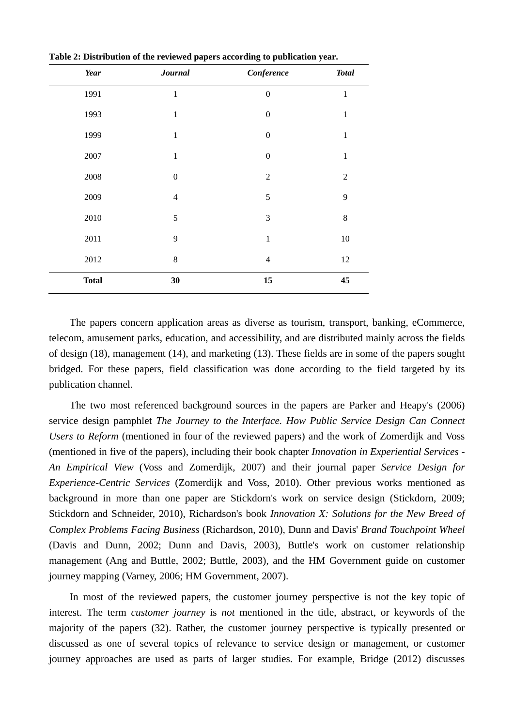| Year         | <b>Journal</b>   | Conference       | <b>Total</b>   |
|--------------|------------------|------------------|----------------|
| 1991         | $\mathbf{1}$     | $\boldsymbol{0}$ | $\mathbf{1}$   |
| 1993         | $\mathbf{1}$     | $\boldsymbol{0}$ | 1              |
| 1999         | $\mathbf{1}$     | $\boldsymbol{0}$ | 1              |
| 2007         | $\mathbf{1}$     | $\boldsymbol{0}$ | $\mathbf{1}$   |
| 2008         | $\boldsymbol{0}$ | $\overline{2}$   | $\overline{2}$ |
| 2009         | $\overline{4}$   | 5                | 9              |
| $2010\,$     | 5                | 3                | $8\,$          |
| 2011         | 9                | $\mathbf{1}$     | 10             |
| 2012         | $\,8\,$          | $\overline{4}$   | 12             |
| <b>Total</b> | 30               | 15               | 45             |

**Table 2: Distribution of the reviewed papers according to publication year.**

The papers concern application areas as diverse as tourism, transport, banking, eCommerce, telecom, amusement parks, education, and accessibility, and are distributed mainly across the fields of design (18), management (14), and marketing (13). These fields are in some of the papers sought bridged. For these papers, field classification was done according to the field targeted by its publication channel.

The two most referenced background sources in the papers are Parker and Heapy's (2006) service design pamphlet *The Journey to the Interface. How Public Service Design Can Connect Users to Reform* (mentioned in four of the reviewed papers) and the work of Zomerdijk and Voss (mentioned in five of the papers), including their book chapter *Innovation in Experiential Services - An Empirical View* (Voss and Zomerdijk, 2007) and their journal paper *Service Design for Experience-Centric Services* (Zomerdijk and Voss, 2010). Other previous works mentioned as background in more than one paper are Stickdorn's work on service design (Stickdorn, 2009; Stickdorn and Schneider, 2010), Richardson's book *Innovation X: Solutions for the New Breed of Complex Problems Facing Business* (Richardson, 2010), Dunn and Davis' *Brand Touchpoint Wheel* (Davis and Dunn, 2002; Dunn and Davis, 2003), Buttle's work on customer relationship management (Ang and Buttle, 2002; Buttle, 2003), and the HM Government guide on customer journey mapping (Varney, 2006; HM Government, 2007).

In most of the reviewed papers, the customer journey perspective is not the key topic of interest. The term *customer journey* is *not* mentioned in the title, abstract, or keywords of the majority of the papers (32). Rather, the customer journey perspective is typically presented or discussed as one of several topics of relevance to service design or management, or customer journey approaches are used as parts of larger studies. For example, Bridge (2012) discusses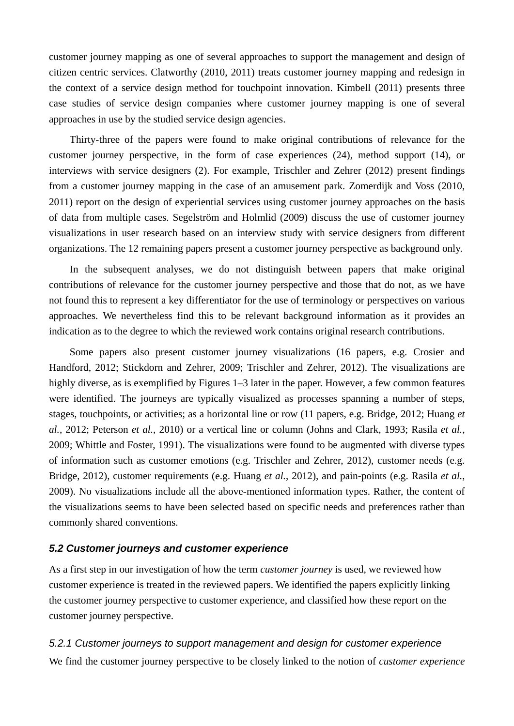customer journey mapping as one of several approaches to support the management and design of citizen centric services. Clatworthy (2010, 2011) treats customer journey mapping and redesign in the context of a service design method for touchpoint innovation. Kimbell (2011) presents three case studies of service design companies where customer journey mapping is one of several approaches in use by the studied service design agencies.

Thirty-three of the papers were found to make original contributions of relevance for the customer journey perspective, in the form of case experiences (24), method support (14), or interviews with service designers (2). For example, Trischler and Zehrer (2012) present findings from a customer journey mapping in the case of an amusement park. Zomerdijk and Voss (2010, 2011) report on the design of experiential services using customer journey approaches on the basis of data from multiple cases. Segelström and Holmlid (2009) discuss the use of customer journey visualizations in user research based on an interview study with service designers from different organizations. The 12 remaining papers present a customer journey perspective as background only.

In the subsequent analyses, we do not distinguish between papers that make original contributions of relevance for the customer journey perspective and those that do not, as we have not found this to represent a key differentiator for the use of terminology or perspectives on various approaches. We nevertheless find this to be relevant background information as it provides an indication as to the degree to which the reviewed work contains original research contributions.

Some papers also present customer journey visualizations (16 papers, e.g. Crosier and Handford, 2012; Stickdorn and Zehrer, 2009; Trischler and Zehrer, 2012). The visualizations are highly diverse, as is exemplified by Figures 1–3 later in the paper. However, a few common features were identified. The journeys are typically visualized as processes spanning a number of steps, stages, touchpoints, or activities; as a horizontal line or row (11 papers, e.g. Bridge, 2012; Huang *et al.*, 2012; Peterson *et al.*, 2010) or a vertical line or column (Johns and Clark, 1993; Rasila *et al.*, 2009; Whittle and Foster, 1991). The visualizations were found to be augmented with diverse types of information such as customer emotions (e.g. Trischler and Zehrer, 2012), customer needs (e.g. Bridge, 2012), customer requirements (e.g. Huang *et al.*, 2012), and pain-points (e.g. Rasila *et al.*, 2009). No visualizations include all the above-mentioned information types. Rather, the content of the visualizations seems to have been selected based on specific needs and preferences rather than commonly shared conventions.

#### *5.2 Customer journeys and customer experience*

As a first step in our investigation of how the term *customer journey* is used, we reviewed how customer experience is treated in the reviewed papers. We identified the papers explicitly linking the customer journey perspective to customer experience, and classified how these report on the customer journey perspective.

*5.2.1 Customer journeys to support management and design for customer experience* We find the customer journey perspective to be closely linked to the notion of *customer experience*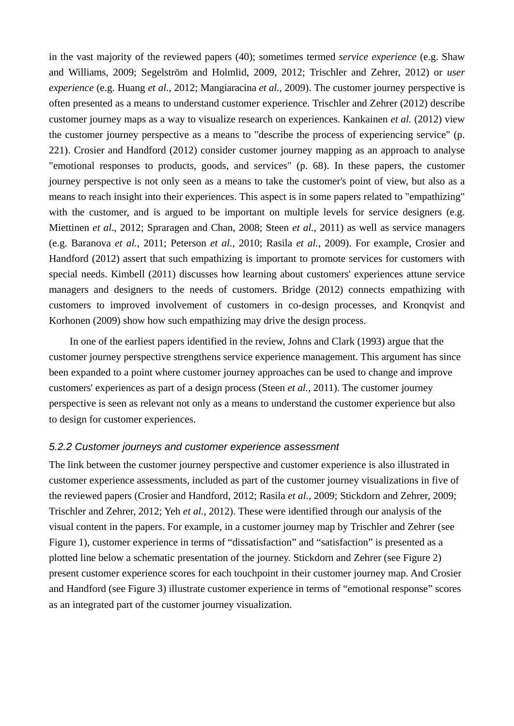in the vast majority of the reviewed papers (40); sometimes termed *service experience* (e.g. Shaw and Williams, 2009; Segelström and Holmlid, 2009, 2012; Trischler and Zehrer, 2012) or *user experience* (e.g. Huang *et al.*, 2012; Mangiaracina *et al.*, 2009). The customer journey perspective is often presented as a means to understand customer experience. Trischler and Zehrer (2012) describe customer journey maps as a way to visualize research on experiences. Kankainen *et al.* (2012) view the customer journey perspective as a means to "describe the process of experiencing service" (p. 221). Crosier and Handford (2012) consider customer journey mapping as an approach to analyse "emotional responses to products, goods, and services" (p. 68). In these papers, the customer journey perspective is not only seen as a means to take the customer's point of view, but also as a means to reach insight into their experiences. This aspect is in some papers related to "empathizing" with the customer, and is argued to be important on multiple levels for service designers (e.g. Miettinen *et al*., 2012; Spraragen and Chan, 2008; Steen *et al.*, 2011) as well as service managers (e.g. Baranova *et al.*, 2011; Peterson *et al.*, 2010; Rasila *et al.*, 2009). For example, Crosier and Handford (2012) assert that such empathizing is important to promote services for customers with special needs. Kimbell (2011) discusses how learning about customers' experiences attune service managers and designers to the needs of customers. Bridge (2012) connects empathizing with customers to improved involvement of customers in co-design processes, and Kronqvist and Korhonen (2009) show how such empathizing may drive the design process.

In one of the earliest papers identified in the review, Johns and Clark (1993) argue that the customer journey perspective strengthens service experience management. This argument has since been expanded to a point where customer journey approaches can be used to change and improve customers' experiences as part of a design process (Steen *et al.*, 2011). The customer journey perspective is seen as relevant not only as a means to understand the customer experience but also to design for customer experiences.

#### *5.2.2 Customer journeys and customer experience assessment*

The link between the customer journey perspective and customer experience is also illustrated in customer experience assessments, included as part of the customer journey visualizations in five of the reviewed papers (Crosier and Handford, 2012; Rasila *et al.*, 2009; Stickdorn and Zehrer, 2009; Trischler and Zehrer, 2012; Yeh *et al.*, 2012). These were identified through our analysis of the visual content in the papers. For example, in a customer journey map by Trischler and Zehrer (see Figure 1), customer experience in terms of "dissatisfaction" and "satisfaction" is presented as a plotted line below a schematic presentation of the journey. Stickdorn and Zehrer (see Figure 2) present customer experience scores for each touchpoint in their customer journey map. And Crosier and Handford (see Figure 3) illustrate customer experience in terms of "emotional response" scores as an integrated part of the customer journey visualization.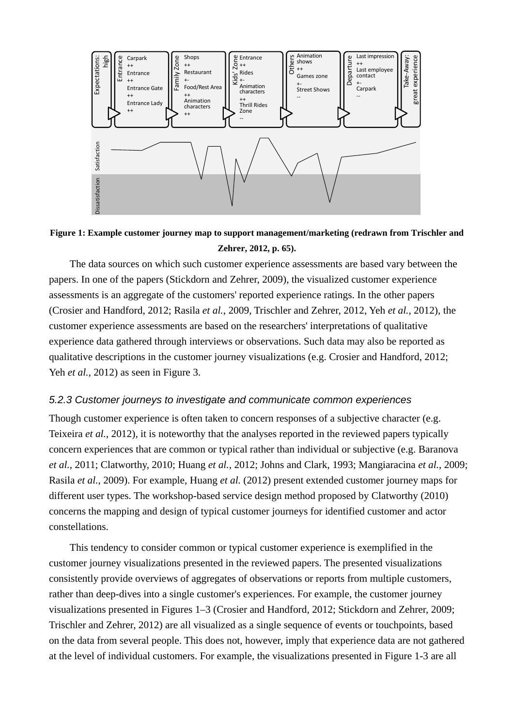

**Figure 1: Example customer journey map to support management/marketing (redrawn from Trischler and Zehrer, 2012, p. 65).**

The data sources on which such customer experience assessments are based vary between the papers. In one of the papers (Stickdorn and Zehrer, 2009), the visualized customer experience assessments is an aggregate of the customers' reported experience ratings. In the other papers (Crosier and Handford, 2012; Rasila *et al.*, 2009, Trischler and Zehrer, 2012, Yeh *et al.*, 2012), the customer experience assessments are based on the researchers' interpretations of qualitative experience data gathered through interviews or observations. Such data may also be reported as qualitative descriptions in the customer journey visualizations (e.g. Crosier and Handford, 2012; Yeh *et al.*, 2012) as seen in Figure 3.

#### *5.2.3 Customer journeys to investigate and communicate common experiences*

Though customer experience is often taken to concern responses of a subjective character (e.g. Teixeira *et al.*, 2012), it is noteworthy that the analyses reported in the reviewed papers typically concern experiences that are common or typical rather than individual or subjective (e.g. Baranova *et al.*, 2011; Clatworthy, 2010; Huang *et al.*, 2012; Johns and Clark, 1993; Mangiaracina *et al.*, 2009; Rasila *et al.*, 2009). For example, Huang *et al.* (2012) present extended customer journey maps for different user types. The workshop-based service design method proposed by Clatworthy (2010) concerns the mapping and design of typical customer journeys for identified customer and actor constellations.

This tendency to consider common or typical customer experience is exemplified in the customer journey visualizations presented in the reviewed papers. The presented visualizations consistently provide overviews of aggregates of observations or reports from multiple customers, rather than deep-dives into a single customer's experiences. For example, the customer journey visualizations presented in Figures 1–3 (Crosier and Handford, 2012; Stickdorn and Zehrer, 2009; Trischler and Zehrer, 2012) are all visualized as a single sequence of events or touchpoints, based on the data from several people. This does not, however, imply that experience data are not gathered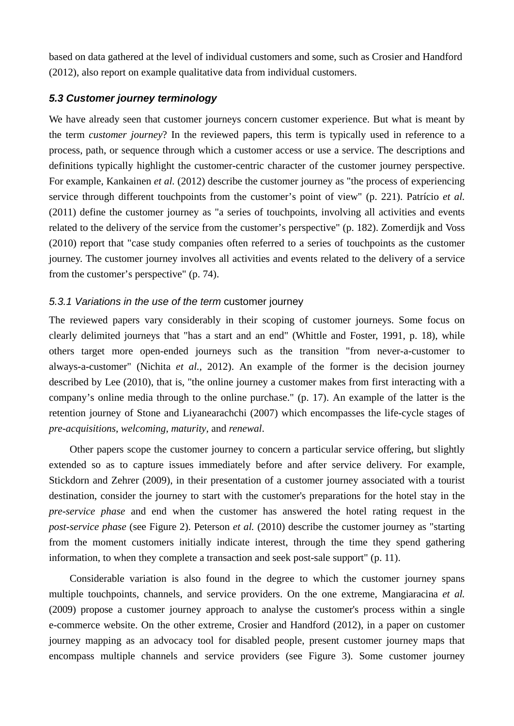based on data gathered at the level of individual customers and some, such as Crosier and Handford (2012), also report on example qualitative data from individual customers.

#### *5.3 Customer journey terminology*

We have already seen that customer journeys concern customer experience. But what is meant by the term *customer journey*? In the reviewed papers, this term is typically used in reference to a process, path, or sequence through which a customer access or use a service. The descriptions and definitions typically highlight the customer-centric character of the customer journey perspective. For example, Kankainen *et al.* (2012) describe the customer journey as "the process of experiencing service through different touchpoints from the customer's point of view" (p. 221). Patrício *et al.* (2011) define the customer journey as "a series of touchpoints, involving all activities and events related to the delivery of the service from the customer's perspective" (p. 182). Zomerdijk and Voss (2010) report that "case study companies often referred to a series of touchpoints as the customer journey. The customer journey involves all activities and events related to the delivery of a service from the customer's perspective" (p. 74).

#### *5.3.1 Variations in the use of the term* customer journey

The reviewed papers vary considerably in their scoping of customer journeys. Some focus on clearly delimited journeys that "has a start and an end" (Whittle and Foster, 1991, p. 18), while others target more open-ended journeys such as the transition "from never-a-customer to always-a-customer" (Nichita *et al.*, 2012). An example of the former is the decision journey described by Lee (2010), that is, "the online journey a customer makes from first interacting with a company's online media through to the online purchase." (p. 17). An example of the latter is the retention journey of Stone and Liyanearachchi (2007) which encompasses the life-cycle stages of *pre-acquisitions*, *welcoming*, *maturity*, and *renewal*.

Other papers scope the customer journey to concern a particular service offering, but slightly extended so as to capture issues immediately before and after service delivery. For example, Stickdorn and Zehrer (2009), in their presentation of a customer journey associated with a tourist destination, consider the journey to start with the customer's preparations for the hotel stay in the *pre-service phase* and end when the customer has answered the hotel rating request in the *post-service phase* (see Figure 2). Peterson *et al.* (2010) describe the customer journey as "starting from the moment customers initially indicate interest, through the time they spend gathering information, to when they complete a transaction and seek post-sale support" (p. 11).

Considerable variation is also found in the degree to which the customer journey spans multiple touchpoints, channels, and service providers. On the one extreme, Mangiaracina *et al.* (2009) propose a customer journey approach to analyse the customer's process within a single e-commerce website. On the other extreme, Crosier and Handford (2012), in a paper on customer journey mapping as an advocacy tool for disabled people, present customer journey maps that encompass multiple channels and service providers (see Figure 3). Some customer journey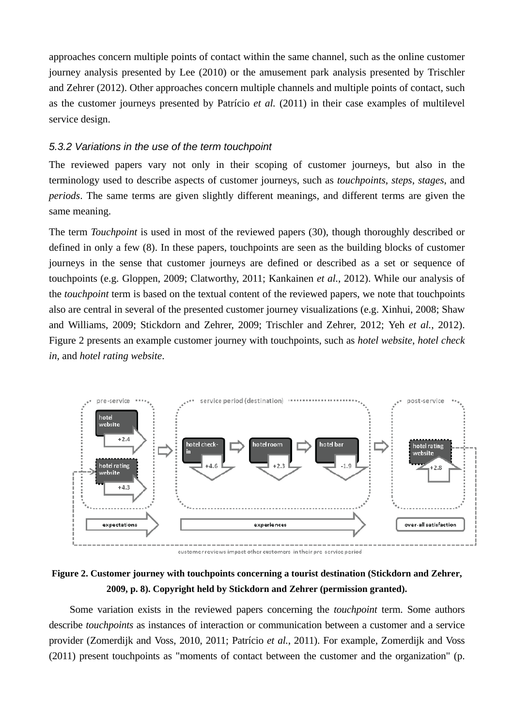approaches concern multiple points of contact within the same channel, such as the online customer journey analysis presented by Lee (2010) or the amusement park analysis presented by Trischler and Zehrer (2012). Other approaches concern multiple channels and multiple points of contact, such as the customer journeys presented by Patrício *et al.* (2011) in their case examples of multilevel service design.

#### *5.3.2 Variations in the use of the term touchpoint*

The reviewed papers vary not only in their scoping of customer journeys, but also in the terminology used to describe aspects of customer journeys, such as *touchpoints*, *steps*, *stages*, and *periods*. The same terms are given slightly different meanings, and different terms are given the same meaning.

The term *Touchpoint* is used in most of the reviewed papers (30), though thoroughly described or defined in only a few (8). In these papers, touchpoints are seen as the building blocks of customer journeys in the sense that customer journeys are defined or described as a set or sequence of touchpoints (e.g. Gloppen, 2009; Clatworthy, 2011; Kankainen *et al.*, 2012). While our analysis of the *touchpoint* term is based on the textual content of the reviewed papers, we note that touchpoints also are central in several of the presented customer journey visualizations (e.g. Xinhui, 2008; Shaw and Williams, 2009; Stickdorn and Zehrer, 2009; Trischler and Zehrer, 2012; Yeh *et al.*, 2012). Figure 2 presents an example customer journey with touchpoints, such as *hotel website*, *hotel check in,* and *hotel rating website*.



**Figure 2. Customer journey with touchpoints concerning a tourist destination (Stickdorn and Zehrer, 2009, p. 8). Copyright held by Stickdorn and Zehrer (permission granted).**

Some variation exists in the reviewed papers concerning the *touchpoint* term. Some authors describe *touchpoints* as instances of interaction or communication between a customer and a service provider (Zomerdijk and Voss, 2010, 2011; Patrício *et al.*, 2011). For example, Zomerdijk and Voss (2011) present touchpoints as "moments of contact between the customer and the organization" (p.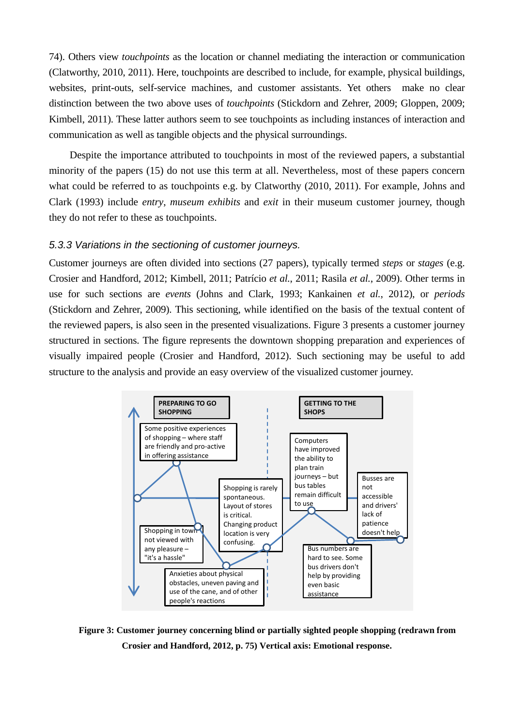74). Others view *touchpoints* as the location or channel mediating the interaction or communication (Clatworthy, 2010, 2011). Here, touchpoints are described to include, for example, physical buildings, websites, print-outs, self-service machines, and customer assistants. Yet others make no clear distinction between the two above uses of *touchpoints* (Stickdorn and Zehrer, 2009; Gloppen, 2009; Kimbell, 2011). These latter authors seem to see touchpoints as including instances of interaction and communication as well as tangible objects and the physical surroundings.

Despite the importance attributed to touchpoints in most of the reviewed papers, a substantial minority of the papers (15) do not use this term at all. Nevertheless, most of these papers concern what could be referred to as touchpoints e.g. by Clatworthy (2010, 2011). For example, Johns and Clark (1993) include *entry*, *museum exhibits* and *exit* in their museum customer journey, though they do not refer to these as touchpoints.

#### *5.3.3 Variations in the sectioning of customer journeys.*

Customer journeys are often divided into sections (27 papers), typically termed *steps* or *stages* (e.g. Crosier and Handford, 2012; Kimbell, 2011; Patrício *et al.*, 2011; Rasila *et al.*, 2009). Other terms in use for such sections are *events* (Johns and Clark, 1993; Kankainen *et al.*, 2012), or *periods*  (Stickdorn and Zehrer, 2009). This sectioning, while identified on the basis of the textual content of the reviewed papers, is also seen in the presented visualizations. Figure 3 presents a customer journey structured in sections. The figure represents the downtown shopping preparation and experiences of visually impaired people (Crosier and Handford, 2012). Such sectioning may be useful to add structure to the analysis and provide an easy overview of the visualized customer journey.



**Figure 3: Customer journey concerning blind or partially sighted people shopping (redrawn from Crosier and Handford, 2012, p. 75) Vertical axis: Emotional response.**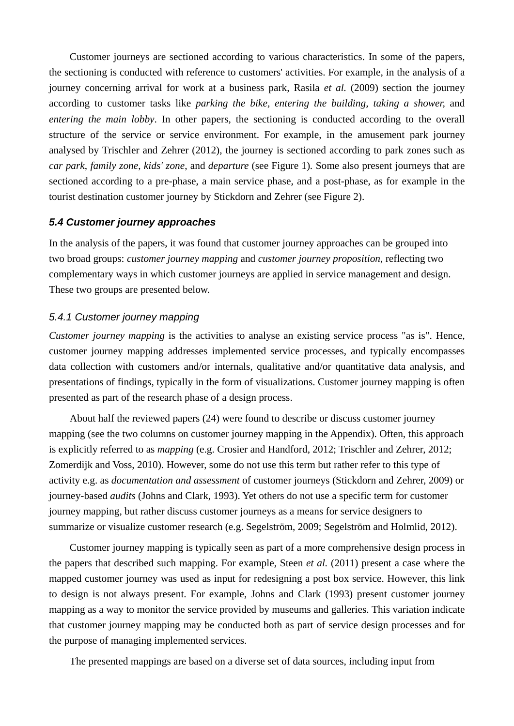Customer journeys are sectioned according to various characteristics. In some of the papers, the sectioning is conducted with reference to customers' activities. For example, in the analysis of a journey concerning arrival for work at a business park, Rasila *et al.* (2009) section the journey according to customer tasks like *parking the bike, entering the building, taking a shower,* and *entering the main lobby*. In other papers, the sectioning is conducted according to the overall structure of the service or service environment. For example, in the amusement park journey analysed by Trischler and Zehrer (2012), the journey is sectioned according to park zones such as *car park*, *family zone*, *kids' zone*, and *departure* (see Figure 1)*.* Some also present journeys that are sectioned according to a pre-phase, a main service phase, and a post-phase, as for example in the tourist destination customer journey by Stickdorn and Zehrer (see Figure 2).

#### *5.4 Customer journey approaches*

In the analysis of the papers, it was found that customer journey approaches can be grouped into two broad groups: *customer journey mapping* and *customer journey proposition*, reflecting two complementary ways in which customer journeys are applied in service management and design. These two groups are presented below.

#### *5.4.1 Customer journey mapping*

*Customer journey mapping* is the activities to analyse an existing service process "as is". Hence, customer journey mapping addresses implemented service processes, and typically encompasses data collection with customers and/or internals, qualitative and/or quantitative data analysis, and presentations of findings, typically in the form of visualizations. Customer journey mapping is often presented as part of the research phase of a design process.

About half the reviewed papers (24) were found to describe or discuss customer journey mapping (see the two columns on customer journey mapping in the Appendix). Often, this approach is explicitly referred to as *mapping* (e.g. Crosier and Handford, 2012; Trischler and Zehrer, 2012; Zomerdijk and Voss, 2010). However, some do not use this term but rather refer to this type of activity e.g. as *documentation and assessment* of customer journeys (Stickdorn and Zehrer, 2009) or journey-based *audits* (Johns and Clark, 1993). Yet others do not use a specific term for customer journey mapping, but rather discuss customer journeys as a means for service designers to summarize or visualize customer research (e.g. Segelström, 2009; Segelström and Holmlid, 2012).

Customer journey mapping is typically seen as part of a more comprehensive design process in the papers that described such mapping. For example, Steen *et al.* (2011) present a case where the mapped customer journey was used as input for redesigning a post box service. However, this link to design is not always present. For example, Johns and Clark (1993) present customer journey mapping as a way to monitor the service provided by museums and galleries. This variation indicate that customer journey mapping may be conducted both as part of service design processes and for the purpose of managing implemented services.

The presented mappings are based on a diverse set of data sources, including input from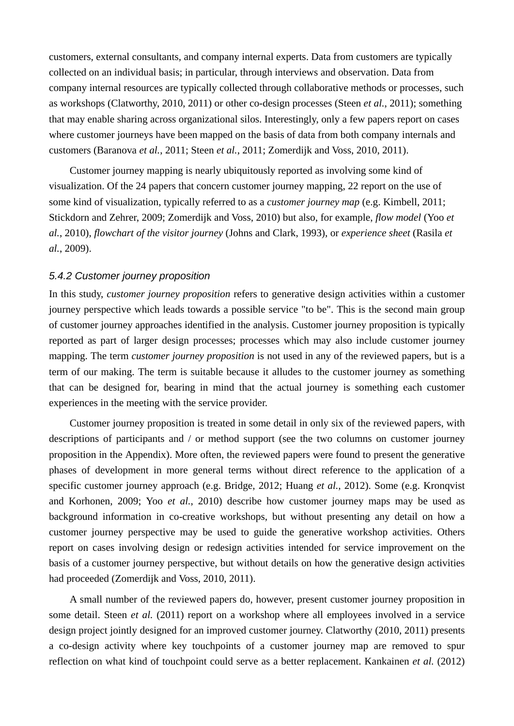customers, external consultants, and company internal experts. Data from customers are typically collected on an individual basis; in particular, through interviews and observation. Data from company internal resources are typically collected through collaborative methods or processes, such as workshops (Clatworthy, 2010, 2011) or other co-design processes (Steen *et al.*, 2011); something that may enable sharing across organizational silos. Interestingly, only a few papers report on cases where customer journeys have been mapped on the basis of data from both company internals and customers (Baranova *et al.*, 2011; Steen *et al.*, 2011; Zomerdijk and Voss, 2010, 2011).

Customer journey mapping is nearly ubiquitously reported as involving some kind of visualization. Of the 24 papers that concern customer journey mapping, 22 report on the use of some kind of visualization, typically referred to as a *customer journey map* (e.g. Kimbell, 2011; Stickdorn and Zehrer, 2009; Zomerdijk and Voss, 2010) but also, for example, *flow model* (Yoo *et al.*, 2010), *flowchart of the visitor journey* (Johns and Clark, 1993), or *experience sheet* (Rasila *et al.*, 2009).

#### *5.4.2 Customer journey proposition*

In this study, *customer journey proposition* refers to generative design activities within a customer journey perspective which leads towards a possible service "to be". This is the second main group of customer journey approaches identified in the analysis. Customer journey proposition is typically reported as part of larger design processes; processes which may also include customer journey mapping. The term *customer journey proposition* is not used in any of the reviewed papers, but is a term of our making. The term is suitable because it alludes to the customer journey as something that can be designed for, bearing in mind that the actual journey is something each customer experiences in the meeting with the service provider.

Customer journey proposition is treated in some detail in only six of the reviewed papers, with descriptions of participants and / or method support (see the two columns on customer journey proposition in the Appendix). More often, the reviewed papers were found to present the generative phases of development in more general terms without direct reference to the application of a specific customer journey approach (e.g. Bridge, 2012; Huang *et al.*, 2012). Some (e.g. Kronqvist and Korhonen, 2009; Yoo *et al.*, 2010) describe how customer journey maps may be used as background information in co-creative workshops, but without presenting any detail on how a customer journey perspective may be used to guide the generative workshop activities. Others report on cases involving design or redesign activities intended for service improvement on the basis of a customer journey perspective, but without details on how the generative design activities had proceeded (Zomerdijk and Voss, 2010, 2011).

A small number of the reviewed papers do, however, present customer journey proposition in some detail. Steen *et al.* (2011) report on a workshop where all employees involved in a service design project jointly designed for an improved customer journey. Clatworthy (2010, 2011) presents a co-design activity where key touchpoints of a customer journey map are removed to spur reflection on what kind of touchpoint could serve as a better replacement. Kankainen *et al.* (2012)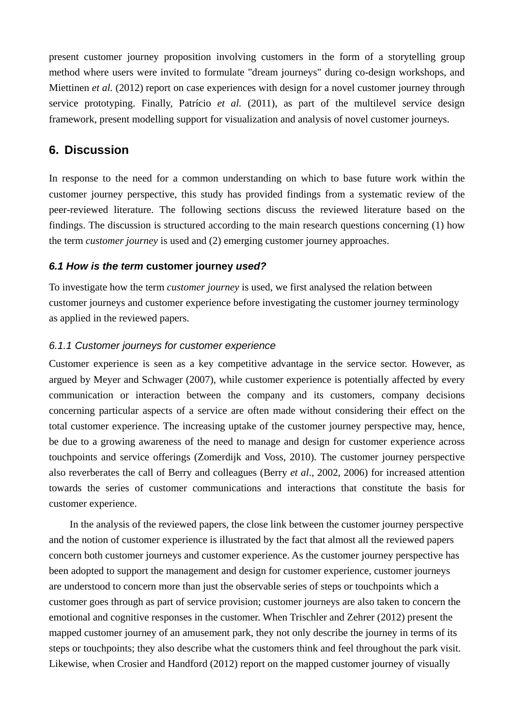present customer journey proposition involving customers in the form of a storytelling group method where users were invited to formulate "dream journeys" during co-design workshops, and Miettinen *et al.* (2012) report on case experiences with design for a novel customer journey through service prototyping. Finally, Patrício *et al.* (2011), as part of the multilevel service design framework, present modelling support for visualization and analysis of novel customer journeys.

## **6. Discussion**

In response to the need for a common understanding on which to base future work within the customer journey perspective, this study has provided findings from a systematic review of the peer-reviewed literature. The following sections discuss the reviewed literature based on the findings. The discussion is structured according to the main research questions concerning (1) how the term *customer journey* is used and (2) emerging customer journey approaches.

#### *6.1 How is the term* **customer journey** *used?*

To investigate how the term *customer journey* is used, we first analysed the relation between customer journeys and customer experience before investigating the customer journey terminology as applied in the reviewed papers.

#### *6.1.1 Customer journeys for customer experience*

Customer experience is seen as a key competitive advantage in the service sector. However, as argued by Meyer and Schwager (2007), while customer experience is potentially affected by every communication or interaction between the company and its customers, company decisions concerning particular aspects of a service are often made without considering their effect on the total customer experience. The increasing uptake of the customer journey perspective may, hence, be due to a growing awareness of the need to manage and design for customer experience across touchpoints and service offerings (Zomerdijk and Voss, 2010). The customer journey perspective also reverberates the call of Berry and colleagues (Berry *et al*., 2002, 2006) for increased attention towards the series of customer communications and interactions that constitute the basis for customer experience.

In the analysis of the reviewed papers, the close link between the customer journey perspective and the notion of customer experience is illustrated by the fact that almost all the reviewed papers concern both customer journeys and customer experience. As the customer journey perspective has been adopted to support the management and design for customer experience, customer journeys are understood to concern more than just the observable series of steps or touchpoints which a customer goes through as part of service provision; customer journeys are also taken to concern the emotional and cognitive responses in the customer. When Trischler and Zehrer (2012) present the mapped customer journey of an amusement park, they not only describe the journey in terms of its steps or touchpoints; they also describe what the customers think and feel throughout the park visit. Likewise, when Crosier and Handford (2012) report on the mapped customer journey of visually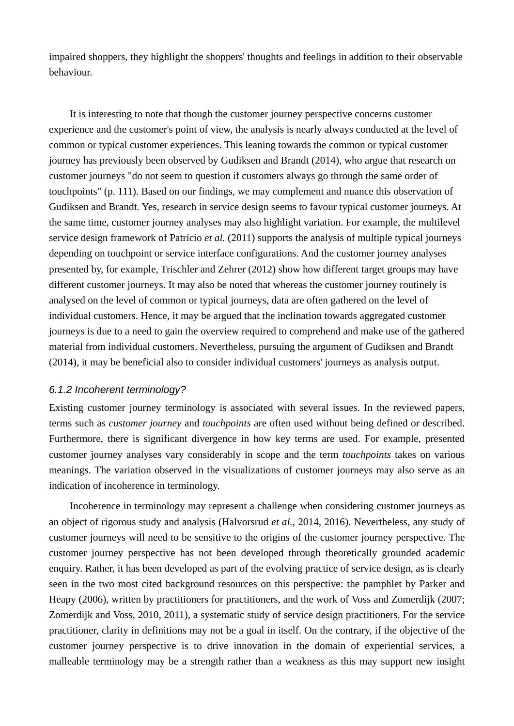impaired shoppers, they highlight the shoppers' thoughts and feelings in addition to their observable behaviour.

It is interesting to note that though the customer journey perspective concerns customer experience and the customer's point of view, the analysis is nearly always conducted at the level of common or typical customer experiences. This leaning towards the common or typical customer journey has previously been observed by Gudiksen and Brandt (2014), who argue that research on customer journeys "do not seem to question if customers always go through the same order of touchpoints" (p. 111). Based on our findings, we may complement and nuance this observation of Gudiksen and Brandt. Yes, research in service design seems to favour typical customer journeys. At the same time, customer journey analyses may also highlight variation. For example, the multilevel service design framework of Patrício *et al.* (2011) supports the analysis of multiple typical journeys depending on touchpoint or service interface configurations. And the customer journey analyses presented by, for example, Trischler and Zehrer (2012) show how different target groups may have different customer journeys. It may also be noted that whereas the customer journey routinely is analysed on the level of common or typical journeys, data are often gathered on the level of individual customers. Hence, it may be argued that the inclination towards aggregated customer journeys is due to a need to gain the overview required to comprehend and make use of the gathered material from individual customers. Nevertheless, pursuing the argument of Gudiksen and Brandt (2014), it may be beneficial also to consider individual customers' journeys as analysis output.

#### *6.1.2 Incoherent terminology?*

Existing customer journey terminology is associated with several issues. In the reviewed papers, terms such as *customer journey* and *touchpoints* are often used without being defined or described. Furthermore, there is significant divergence in how key terms are used. For example, presented customer journey analyses vary considerably in scope and the term *touchpoints* takes on various meanings. The variation observed in the visualizations of customer journeys may also serve as an indication of incoherence in terminology.

Incoherence in terminology may represent a challenge when considering customer journeys as an object of rigorous study and analysis (Halvorsrud *et al.*, 2014, 2016). Nevertheless, any study of customer journeys will need to be sensitive to the origins of the customer journey perspective. The customer journey perspective has not been developed through theoretically grounded academic enquiry. Rather, it has been developed as part of the evolving practice of service design, as is clearly seen in the two most cited background resources on this perspective: the pamphlet by Parker and Heapy (2006), written by practitioners for practitioners, and the work of Voss and Zomerdijk (2007; Zomerdijk and Voss, 2010, 2011), a systematic study of service design practitioners. For the service practitioner, clarity in definitions may not be a goal in itself. On the contrary, if the objective of the customer journey perspective is to drive innovation in the domain of experiential services, a malleable terminology may be a strength rather than a weakness as this may support new insight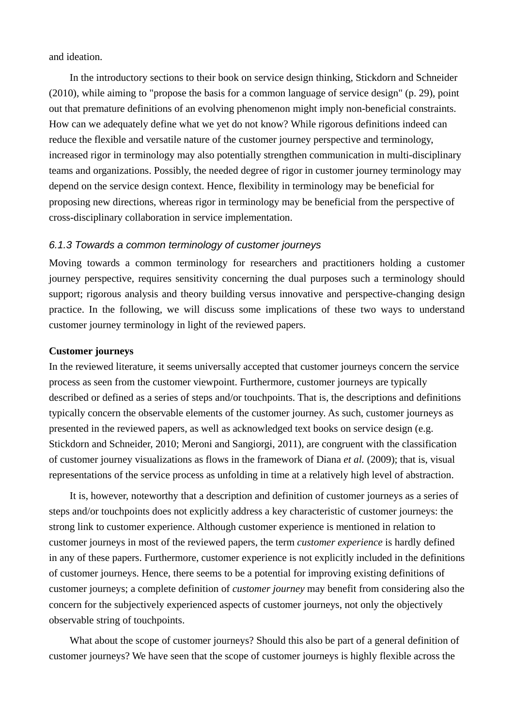and ideation.

In the introductory sections to their book on service design thinking, Stickdorn and Schneider (2010), while aiming to "propose the basis for a common language of service design" (p. 29), point out that premature definitions of an evolving phenomenon might imply non-beneficial constraints. How can we adequately define what we yet do not know? While rigorous definitions indeed can reduce the flexible and versatile nature of the customer journey perspective and terminology, increased rigor in terminology may also potentially strengthen communication in multi-disciplinary teams and organizations. Possibly, the needed degree of rigor in customer journey terminology may depend on the service design context. Hence, flexibility in terminology may be beneficial for proposing new directions, whereas rigor in terminology may be beneficial from the perspective of cross-disciplinary collaboration in service implementation.

#### *6.1.3 Towards a common terminology of customer journeys*

Moving towards a common terminology for researchers and practitioners holding a customer journey perspective, requires sensitivity concerning the dual purposes such a terminology should support; rigorous analysis and theory building versus innovative and perspective-changing design practice. In the following, we will discuss some implications of these two ways to understand customer journey terminology in light of the reviewed papers.

#### **Customer journeys**

In the reviewed literature, it seems universally accepted that customer journeys concern the service process as seen from the customer viewpoint. Furthermore, customer journeys are typically described or defined as a series of steps and/or touchpoints. That is, the descriptions and definitions typically concern the observable elements of the customer journey. As such, customer journeys as presented in the reviewed papers, as well as acknowledged text books on service design (e.g. Stickdorn and Schneider, 2010; Meroni and Sangiorgi, 2011), are congruent with the classification of customer journey visualizations as flows in the framework of Diana *et al.* (2009); that is, visual representations of the service process as unfolding in time at a relatively high level of abstraction.

It is, however, noteworthy that a description and definition of customer journeys as a series of steps and/or touchpoints does not explicitly address a key characteristic of customer journeys: the strong link to customer experience. Although customer experience is mentioned in relation to customer journeys in most of the reviewed papers, the term *customer experience* is hardly defined in any of these papers. Furthermore, customer experience is not explicitly included in the definitions of customer journeys. Hence, there seems to be a potential for improving existing definitions of customer journeys; a complete definition of *customer journey* may benefit from considering also the concern for the subjectively experienced aspects of customer journeys, not only the objectively observable string of touchpoints.

What about the scope of customer journeys? Should this also be part of a general definition of customer journeys? We have seen that the scope of customer journeys is highly flexible across the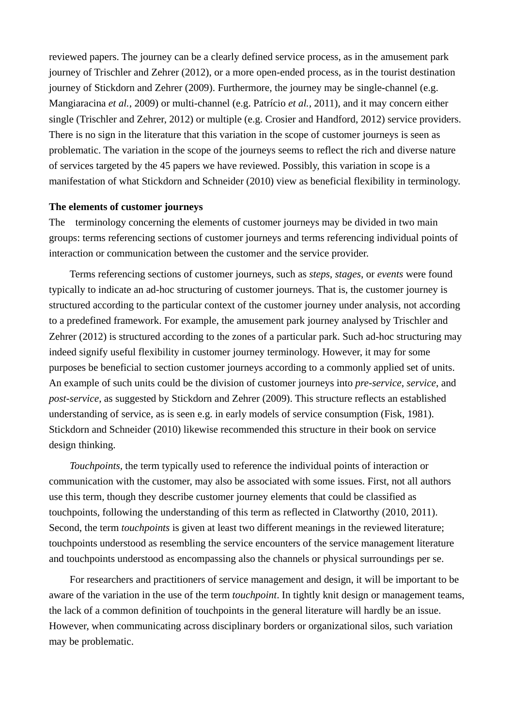reviewed papers. The journey can be a clearly defined service process, as in the amusement park journey of Trischler and Zehrer (2012), or a more open-ended process, as in the tourist destination journey of Stickdorn and Zehrer (2009). Furthermore, the journey may be single-channel (e.g. Mangiaracina *et al.*, 2009) or multi-channel (e.g. Patrício *et al.*, 2011), and it may concern either single (Trischler and Zehrer, 2012) or multiple (e.g. Crosier and Handford, 2012) service providers. There is no sign in the literature that this variation in the scope of customer journeys is seen as problematic. The variation in the scope of the journeys seems to reflect the rich and diverse nature of services targeted by the 45 papers we have reviewed. Possibly, this variation in scope is a manifestation of what Stickdorn and Schneider (2010) view as beneficial flexibility in terminology.

#### **The elements of customer journeys**

The terminology concerning the elements of customer journeys may be divided in two main groups: terms referencing sections of customer journeys and terms referencing individual points of interaction or communication between the customer and the service provider.

Terms referencing sections of customer journeys, such as *steps*, *stages*, or *events* were found typically to indicate an ad-hoc structuring of customer journeys. That is, the customer journey is structured according to the particular context of the customer journey under analysis, not according to a predefined framework. For example, the amusement park journey analysed by Trischler and Zehrer (2012) is structured according to the zones of a particular park. Such ad-hoc structuring may indeed signify useful flexibility in customer journey terminology. However, it may for some purposes be beneficial to section customer journeys according to a commonly applied set of units. An example of such units could be the division of customer journeys into *pre-service*, *service*, and *post-service*, as suggested by Stickdorn and Zehrer (2009). This structure reflects an established understanding of service, as is seen e.g. in early models of service consumption (Fisk, 1981). Stickdorn and Schneider (2010) likewise recommended this structure in their book on service design thinking.

*Touchpoints,* the term typically used to reference the individual points of interaction or communication with the customer, may also be associated with some issues. First, not all authors use this term, though they describe customer journey elements that could be classified as touchpoints, following the understanding of this term as reflected in Clatworthy (2010, 2011). Second, the term *touchpoints* is given at least two different meanings in the reviewed literature; touchpoints understood as resembling the service encounters of the service management literature and touchpoints understood as encompassing also the channels or physical surroundings per se.

For researchers and practitioners of service management and design, it will be important to be aware of the variation in the use of the term *touchpoint*. In tightly knit design or management teams, the lack of a common definition of touchpoints in the general literature will hardly be an issue. However, when communicating across disciplinary borders or organizational silos, such variation may be problematic.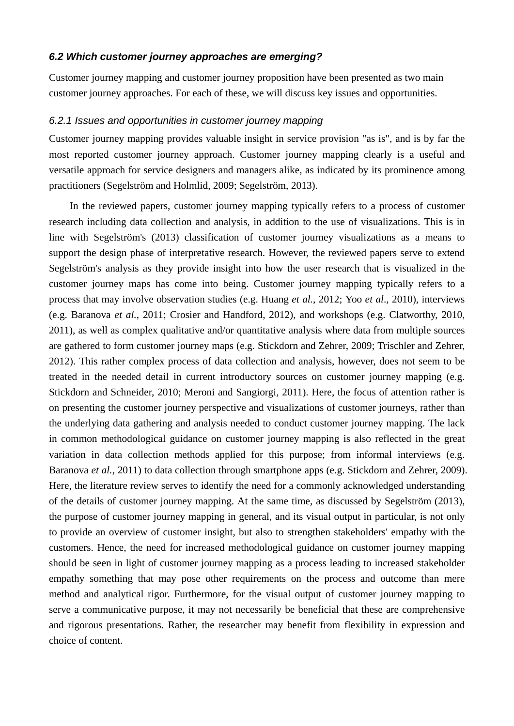#### *6.2 Which customer journey approaches are emerging?*

Customer journey mapping and customer journey proposition have been presented as two main customer journey approaches. For each of these, we will discuss key issues and opportunities.

#### *6.2.1 Issues and opportunities in customer journey mapping*

Customer journey mapping provides valuable insight in service provision "as is", and is by far the most reported customer journey approach. Customer journey mapping clearly is a useful and versatile approach for service designers and managers alike, as indicated by its prominence among practitioners (Segelström and Holmlid, 2009; Segelström, 2013).

In the reviewed papers, customer journey mapping typically refers to a process of customer research including data collection and analysis, in addition to the use of visualizations. This is in line with Segelström's (2013) classification of customer journey visualizations as a means to support the design phase of interpretative research. However, the reviewed papers serve to extend Segelström's analysis as they provide insight into how the user research that is visualized in the customer journey maps has come into being. Customer journey mapping typically refers to a process that may involve observation studies (e.g. Huang *et al.*, 2012; Yoo *et al*., 2010), interviews (e.g. Baranova *et al.*, 2011; Crosier and Handford, 2012), and workshops (e.g. Clatworthy, 2010, 2011), as well as complex qualitative and/or quantitative analysis where data from multiple sources are gathered to form customer journey maps (e.g. Stickdorn and Zehrer, 2009; Trischler and Zehrer, 2012). This rather complex process of data collection and analysis, however, does not seem to be treated in the needed detail in current introductory sources on customer journey mapping (e.g. Stickdorn and Schneider, 2010; Meroni and Sangiorgi, 2011). Here, the focus of attention rather is on presenting the customer journey perspective and visualizations of customer journeys, rather than the underlying data gathering and analysis needed to conduct customer journey mapping. The lack in common methodological guidance on customer journey mapping is also reflected in the great variation in data collection methods applied for this purpose; from informal interviews (e.g. Baranova *et al.*, 2011) to data collection through smartphone apps (e.g. Stickdorn and Zehrer, 2009). Here, the literature review serves to identify the need for a commonly acknowledged understanding of the details of customer journey mapping. At the same time, as discussed by Segelström (2013), the purpose of customer journey mapping in general, and its visual output in particular, is not only to provide an overview of customer insight, but also to strengthen stakeholders' empathy with the customers. Hence, the need for increased methodological guidance on customer journey mapping should be seen in light of customer journey mapping as a process leading to increased stakeholder empathy something that may pose other requirements on the process and outcome than mere method and analytical rigor. Furthermore, for the visual output of customer journey mapping to serve a communicative purpose, it may not necessarily be beneficial that these are comprehensive and rigorous presentations. Rather, the researcher may benefit from flexibility in expression and choice of content.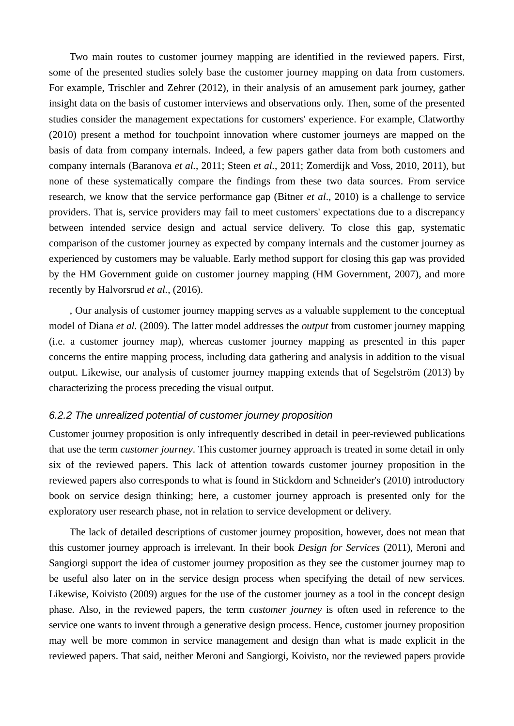Two main routes to customer journey mapping are identified in the reviewed papers. First, some of the presented studies solely base the customer journey mapping on data from customers. For example, Trischler and Zehrer (2012), in their analysis of an amusement park journey, gather insight data on the basis of customer interviews and observations only. Then, some of the presented studies consider the management expectations for customers' experience. For example, Clatworthy (2010) present a method for touchpoint innovation where customer journeys are mapped on the basis of data from company internals. Indeed, a few papers gather data from both customers and company internals (Baranova *et al.*, 2011; Steen *et al.*, 2011; Zomerdijk and Voss, 2010, 2011), but none of these systematically compare the findings from these two data sources. From service research, we know that the service performance gap (Bitner *et al*., 2010) is a challenge to service providers. That is, service providers may fail to meet customers' expectations due to a discrepancy between intended service design and actual service delivery. To close this gap, systematic comparison of the customer journey as expected by company internals and the customer journey as experienced by customers may be valuable. Early method support for closing this gap was provided by the HM Government guide on customer journey mapping (HM Government, 2007), and more recently by Halvorsrud *et al.*, (2016).

, Our analysis of customer journey mapping serves as a valuable supplement to the conceptual model of Diana *et al.* (2009). The latter model addresses the *output* from customer journey mapping (i.e. a customer journey map), whereas customer journey mapping as presented in this paper concerns the entire mapping process, including data gathering and analysis in addition to the visual output. Likewise, our analysis of customer journey mapping extends that of Segelström (2013) by characterizing the process preceding the visual output.

#### *6.2.2 The unrealized potential of customer journey proposition*

Customer journey proposition is only infrequently described in detail in peer-reviewed publications that use the term *customer journey*. This customer journey approach is treated in some detail in only six of the reviewed papers. This lack of attention towards customer journey proposition in the reviewed papers also corresponds to what is found in Stickdorn and Schneider's (2010) introductory book on service design thinking; here, a customer journey approach is presented only for the exploratory user research phase, not in relation to service development or delivery.

The lack of detailed descriptions of customer journey proposition, however, does not mean that this customer journey approach is irrelevant. In their book *Design for Services* (2011), Meroni and Sangiorgi support the idea of customer journey proposition as they see the customer journey map to be useful also later on in the service design process when specifying the detail of new services. Likewise, Koivisto (2009) argues for the use of the customer journey as a tool in the concept design phase. Also, in the reviewed papers, the term *customer journey* is often used in reference to the service one wants to invent through a generative design process. Hence, customer journey proposition may well be more common in service management and design than what is made explicit in the reviewed papers. That said, neither Meroni and Sangiorgi, Koivisto, nor the reviewed papers provide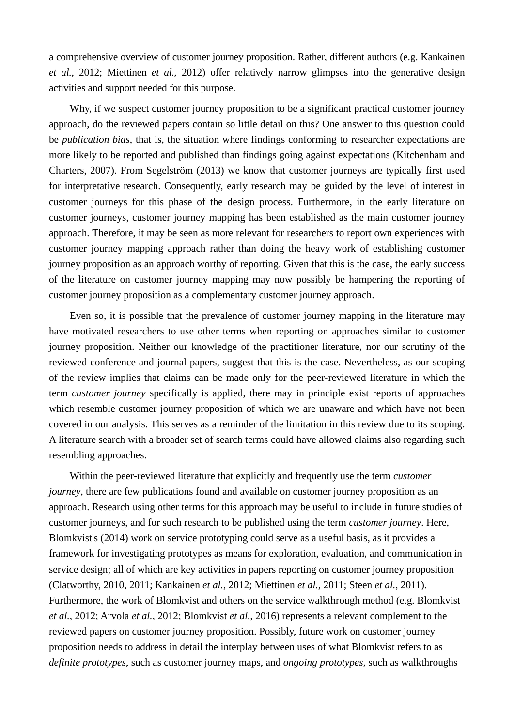a comprehensive overview of customer journey proposition. Rather, different authors (e.g. Kankainen *et al.*, 2012; Miettinen *et al.*, 2012) offer relatively narrow glimpses into the generative design activities and support needed for this purpose.

Why, if we suspect customer journey proposition to be a significant practical customer journey approach, do the reviewed papers contain so little detail on this? One answer to this question could be *publication bias*, that is, the situation where findings conforming to researcher expectations are more likely to be reported and published than findings going against expectations (Kitchenham and Charters, 2007). From Segelström (2013) we know that customer journeys are typically first used for interpretative research. Consequently, early research may be guided by the level of interest in customer journeys for this phase of the design process. Furthermore, in the early literature on customer journeys, customer journey mapping has been established as the main customer journey approach. Therefore, it may be seen as more relevant for researchers to report own experiences with customer journey mapping approach rather than doing the heavy work of establishing customer journey proposition as an approach worthy of reporting. Given that this is the case, the early success of the literature on customer journey mapping may now possibly be hampering the reporting of customer journey proposition as a complementary customer journey approach.

Even so, it is possible that the prevalence of customer journey mapping in the literature may have motivated researchers to use other terms when reporting on approaches similar to customer journey proposition. Neither our knowledge of the practitioner literature, nor our scrutiny of the reviewed conference and journal papers, suggest that this is the case. Nevertheless, as our scoping of the review implies that claims can be made only for the peer-reviewed literature in which the term *customer journey* specifically is applied, there may in principle exist reports of approaches which resemble customer journey proposition of which we are unaware and which have not been covered in our analysis. This serves as a reminder of the limitation in this review due to its scoping. A literature search with a broader set of search terms could have allowed claims also regarding such resembling approaches.

Within the peer-reviewed literature that explicitly and frequently use the term *customer journey*, there are few publications found and available on customer journey proposition as an approach. Research using other terms for this approach may be useful to include in future studies of customer journeys, and for such research to be published using the term *customer journey*. Here, Blomkvist's (2014) work on service prototyping could serve as a useful basis, as it provides a framework for investigating prototypes as means for exploration, evaluation, and communication in service design; all of which are key activities in papers reporting on customer journey proposition (Clatworthy, 2010, 2011; Kankainen *et al.*, 2012; Miettinen *et al.*, 2011; Steen *et al.*, 2011). Furthermore, the work of Blomkvist and others on the service walkthrough method (e.g. Blomkvist *et al.*, 2012; Arvola *et al.*, 2012; Blomkvist *et al.*, 2016) represents a relevant complement to the reviewed papers on customer journey proposition. Possibly, future work on customer journey proposition needs to address in detail the interplay between uses of what Blomkvist refers to as *definite prototypes*, such as customer journey maps, and *ongoing prototypes*, such as walkthroughs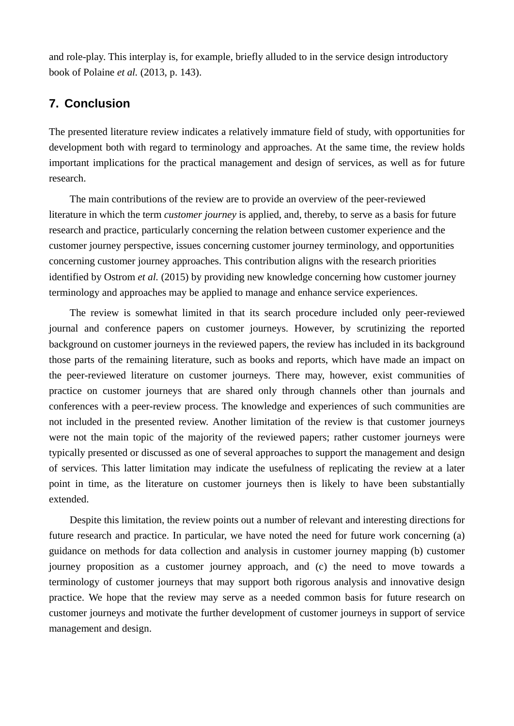and role-play. This interplay is, for example, briefly alluded to in the service design introductory book of Polaine *et al.* (2013, p. 143).

## **7. Conclusion**

The presented literature review indicates a relatively immature field of study, with opportunities for development both with regard to terminology and approaches. At the same time, the review holds important implications for the practical management and design of services, as well as for future research.

The main contributions of the review are to provide an overview of the peer-reviewed literature in which the term *customer journey* is applied, and, thereby, to serve as a basis for future research and practice, particularly concerning the relation between customer experience and the customer journey perspective, issues concerning customer journey terminology, and opportunities concerning customer journey approaches. This contribution aligns with the research priorities identified by Ostrom *et al.* (2015) by providing new knowledge concerning how customer journey terminology and approaches may be applied to manage and enhance service experiences.

The review is somewhat limited in that its search procedure included only peer-reviewed journal and conference papers on customer journeys. However, by scrutinizing the reported background on customer journeys in the reviewed papers, the review has included in its background those parts of the remaining literature, such as books and reports, which have made an impact on the peer-reviewed literature on customer journeys. There may, however, exist communities of practice on customer journeys that are shared only through channels other than journals and conferences with a peer-review process. The knowledge and experiences of such communities are not included in the presented review. Another limitation of the review is that customer journeys were not the main topic of the majority of the reviewed papers; rather customer journeys were typically presented or discussed as one of several approaches to support the management and design of services. This latter limitation may indicate the usefulness of replicating the review at a later point in time, as the literature on customer journeys then is likely to have been substantially extended.

Despite this limitation, the review points out a number of relevant and interesting directions for future research and practice. In particular, we have noted the need for future work concerning (a) guidance on methods for data collection and analysis in customer journey mapping (b) customer journey proposition as a customer journey approach, and (c) the need to move towards a terminology of customer journeys that may support both rigorous analysis and innovative design practice. We hope that the review may serve as a needed common basis for future research on customer journeys and motivate the further development of customer journeys in support of service management and design.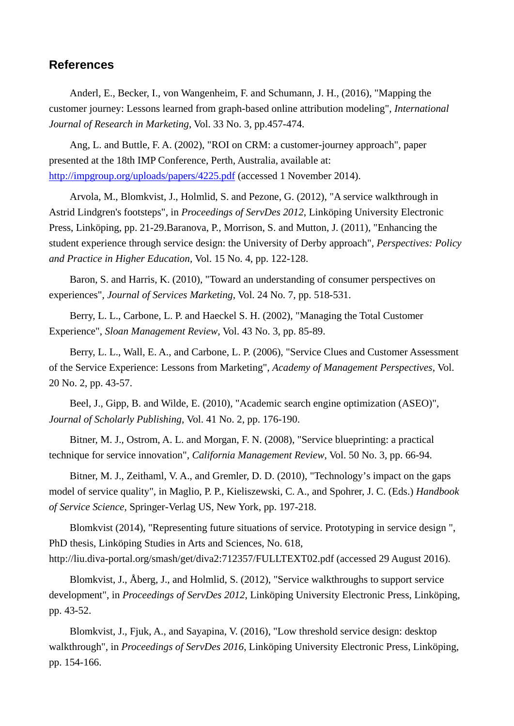## **References**

Anderl, E., Becker, I., von Wangenheim, F. and Schumann, J. H., (2016), "Mapping the customer journey: Lessons learned from graph-based online attribution modeling", *International Journal of Research in Marketing*, Vol. 33 No. 3, pp.457-474.

Ang, L. and Buttle, F. A. (2002), "ROI on CRM: a customer-journey approach", paper presented at the 18th IMP Conference, Perth, Australia, available at: <http://impgroup.org/uploads/papers/4225.pdf> (accessed 1 November 2014).

Arvola, M., Blomkvist, J., Holmlid, S. and Pezone, G. (2012), "A service walkthrough in Astrid Lindgren's footsteps", in *Proceedings of ServDes 2012*, Linköping University Electronic Press, Linköping, pp. 21-29.Baranova, P., Morrison, S. and Mutton, J. (2011), "Enhancing the student experience through service design: the University of Derby approach", *Perspectives: Policy and Practice in Higher Education,* Vol. 15 No. 4, pp. 122-128.

Baron, S. and Harris, K. (2010), "Toward an understanding of consumer perspectives on experiences", *Journal of Services Marketing*, Vol. 24 No. 7, pp. 518-531.

Berry, L. L., Carbone, L. P. and Haeckel S. H. (2002), "Managing the Total Customer Experience", *Sloan Management Review*, Vol. 43 No. 3, pp. 85-89.

Berry, L. L., Wall, E. A., and Carbone, L. P. (2006), "Service Clues and Customer Assessment of the Service Experience: Lessons from Marketing", *Academy of Management Perspectives*, Vol. 20 No. 2, pp. 43-57.

Beel, J., Gipp, B. and Wilde, E. (2010), "Academic search engine optimization (ASEO)", *Journal of Scholarly Publishing*, Vol. 41 No. 2, pp. 176-190.

Bitner, M. J., Ostrom, A. L. and Morgan, F. N. (2008), "Service blueprinting: a practical technique for service innovation", *California Management Review*, Vol. 50 No. 3, pp. 66-94.

Bitner, M. J., Zeithaml, V. A., and Gremler, D. D. (2010), "Technology's impact on the gaps model of service quality", in Maglio, P. P., Kieliszewski, C. A., and Spohrer, J. C. (Eds.) *Handbook of Service Science*, Springer-Verlag US, New York, pp. 197-218.

Blomkvist (2014), "Representing future situations of service. Prototyping in service design ", PhD thesis, Linköping Studies in Arts and Sciences, No. 618, http://liu.diva-portal.org/smash/get/diva2:712357/FULLTEXT02.pdf (accessed 29 August 2016).

Blomkvist, J., Åberg, J., and Holmlid, S. (2012), "Service walkthroughs to support service development", in *Proceedings of ServDes 2012*, Linköping University Electronic Press, Linköping, pp. 43-52.

Blomkvist, J., Fjuk, A., and Sayapina, V. (2016), "Low threshold service design: desktop walkthrough", in *Proceedings of ServDes 2016*, Linköping University Electronic Press, Linköping, pp. 154-166.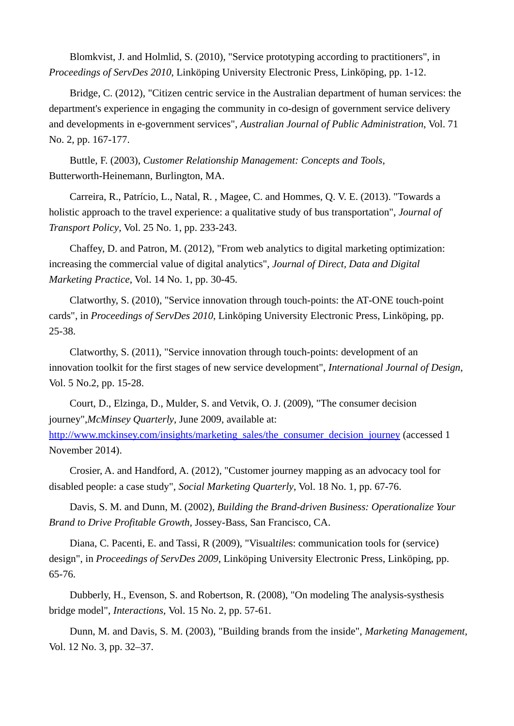Blomkvist, J. and Holmlid, S. (2010), "Service prototyping according to practitioners", in *Proceedings of ServDes 2010*, Linköping University Electronic Press, Linköping, pp. 1-12.

Bridge, C. (2012), "Citizen centric service in the Australian department of human services: the department's experience in engaging the community in co-design of government service delivery and developments in e-government services", *Australian Journal of Public Administration*, Vol. 71 No. 2, pp. 167-177.

Buttle, F. (2003), *Customer Relationship Management: Concepts and Tools*, Butterworth-Heinemann, Burlington, MA.

Carreira, R., Patrício, L., Natal, R. , Magee, C. and Hommes, Q. V. E. (2013). "Towards a holistic approach to the travel experience: a qualitative study of bus transportation", *Journal of Transport Policy*, Vol. 25 No. 1, pp. 233-243.

Chaffey, D. and Patron, M. (2012), "From web analytics to digital marketing optimization: increasing the commercial value of digital analytics", *Journal of Direct, Data and Digital Marketing Practice*, Vol. 14 No. 1, pp. 30-45.

Clatworthy, S. (2010), "Service innovation through touch-points: the AT-ONE touch-point cards", in *Proceedings of ServDes 2010*, Linköping University Electronic Press, Linköping, pp. 25-38.

Clatworthy, S. (2011), "Service innovation through touch-points: development of an innovation toolkit for the first stages of new service development", *International Journal of Design*, Vol. 5 No.2, pp. 15-28.

Court, D., Elzinga, D., Mulder, S. and Vetvik, O. J. (2009), "The consumer decision journey",*McMinsey Quarterly*, June 2009, available at:

[http://www.mckinsey.com/insights/marketing\\_sales/the\\_consumer\\_decision\\_journey](http://www.mckinsey.com/insights/marketing_sales/the_consumer_decision_journey) (accessed 1 November 2014).

Crosier, A. and Handford, A. (2012), "Customer journey mapping as an advocacy tool for disabled people: a case study", *Social Marketing Quarterly*, Vol. 18 No. 1, pp. 67-76.

Davis, S. M. and Dunn, M. (2002), *Building the Brand-driven Business: Operationalize Your Brand to Drive Profitable Growth,* Jossey-Bass, San Francisco, CA.

Diana, C. Pacenti, E. and Tassi, R (2009), "Visual*tile*s: communication tools for (service) design", in *Proceedings of ServDes 2009*, Linköping University Electronic Press, Linköping, pp. 65-76.

Dubberly, H., Evenson, S. and Robertson, R. (2008), "On modeling The analysis-systhesis bridge model", *Interactions,* Vol. 15 No. 2, pp. 57-61.

Dunn, M. and Davis, S. M. (2003), "Building brands from the inside", *Marketing Management*, Vol. 12 No. 3, pp. 32–37.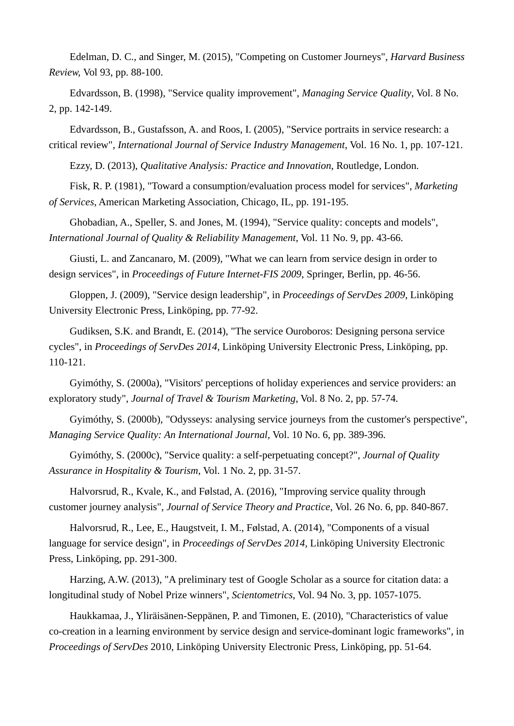Edelman, D. C., and Singer, M. (2015), "Competing on Customer Journeys", *Harvard Business Review,* Vol 93, pp. 88-100.

Edvardsson, B. (1998), "Service quality improvement", *Managing Service Quality*, Vol. 8 No. 2, pp. 142-149.

Edvardsson, B., Gustafsson, A. and Roos, I. (2005), "Service portraits in service research: a critical review", *International Journal of Service Industry Management*, Vol. 16 No. 1, pp. 107-121.

Ezzy, D. (2013), *Qualitative Analysis: Practice and Innovation*, Routledge, London.

Fisk, R. P. (1981), "Toward a consumption/evaluation process model for services", *Marketing of Services*, American Marketing Association, Chicago, IL, pp. 191-195.

Ghobadian, A., Speller, S. and Jones, M. (1994), "Service quality: concepts and models", *International Journal of Quality & Reliability Management*, Vol. 11 No. 9, pp. 43-66.

Giusti, L. and Zancanaro, M. (2009), "What we can learn from service design in order to design services", in *Proceedings of Future Internet-FIS 2009*, Springer, Berlin, pp. 46-56.

Gloppen, J. (2009), "Service design leadership", in *Proceedings of ServDes 2009*, Linköping University Electronic Press, Linköping, pp. 77-92.

Gudiksen, S.K. and Brandt, E. (2014), "The service Ouroboros: Designing persona service cycles", in *Proceedings of ServDes 2014*, Linköping University Electronic Press, Linköping, pp. 110-121.

Gyimóthy, S. (2000a), "Visitors' perceptions of holiday experiences and service providers: an exploratory study", *Journal of Travel & Tourism Marketing*, Vol. 8 No. 2, pp. 57-74.

Gyimóthy, S. (2000b), "Odysseys: analysing service journeys from the customer's perspective", *Managing Service Quality: An International Journal*, Vol. 10 No. 6, pp. 389-396.

Gyimóthy, S. (2000c), "Service quality: a self-perpetuating concept?", *Journal of Quality Assurance in Hospitality & Tourism*, Vol. 1 No. 2, pp. 31-57.

Halvorsrud, R., Kvale, K., and Følstad, A. (2016), "Improving service quality through customer journey analysis", *Journal of Service Theory and Practice*, Vol. 26 No. 6, pp. 840-867.

Halvorsrud, R., Lee, E., Haugstveit, I. M., Følstad, A. (2014), "Components of a visual language for service design", in *Proceedings of ServDes 2014*, Linköping University Electronic Press, Linköping, pp. 291-300.

Harzing, A.W. (2013), "A preliminary test of Google Scholar as a source for citation data: a longitudinal study of Nobel Prize winners", *Scientometrics*, Vol. 94 No. 3, pp. 1057-1075.

Haukkamaa, J., Yliräisänen-Seppänen, P. and Timonen, E. (2010), "Characteristics of value co-creation in a learning environment by service design and service-dominant logic frameworks", in *Proceedings of ServDes* 2010, Linköping University Electronic Press, Linköping, pp. 51-64.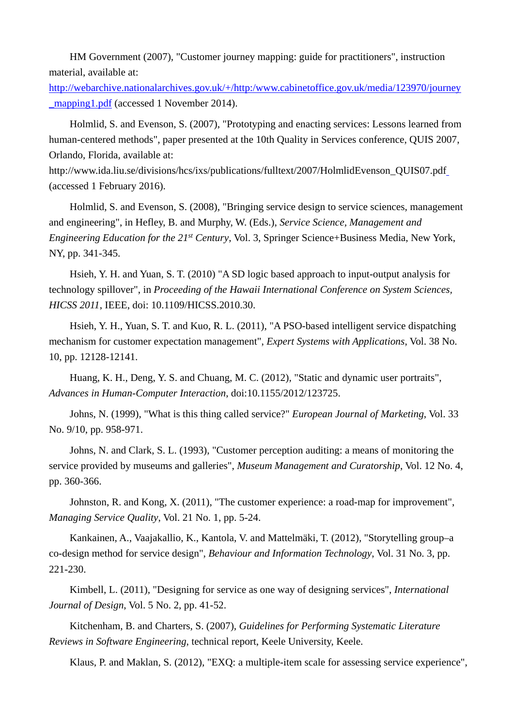HM Government (2007), "Customer journey mapping: guide for practitioners", instruction material, available at:

[http://webarchive.nationalarchives.gov.uk/+/http:/www.cabinetoffice.gov.uk/media/123970/journey](http://webarchive.nationalarchives.gov.uk/+/http:/www.cabinetoffice.gov.uk/media/123970/journey_mapping1.pdf) mapping 1.pdf (accessed 1 November 2014).

Holmlid, S. and Evenson, S. (2007), "Prototyping and enacting services: Lessons learned from human-centered methods", paper presented at the 10th Quality in Services conference, QUIS 2007, Orlando, Florida, available at:

http://www.ida.liu.se/divisions/hcs/ixs/publications/fulltext/2007/HolmlidEvenson\_QUIS07.pdf (accessed 1 February 2016).

Holmlid, S. and Evenson, S. (2008), "Bringing service design to service sciences, management and engineering", in Hefley, B. and Murphy, W. (Eds.), *Service Science, Management and Engineering Education for the 21st Century*, Vol. 3, Springer Science+Business Media, New York, NY, pp. 341-345.

Hsieh, Y. H. and Yuan, S. T. (2010) "A SD logic based approach to input-output analysis for technology spillover", in *Proceeding of the Hawaii International Conference on System Sciences, HICSS 2011*, IEEE, doi: 10.1109/HICSS.2010.30.

Hsieh, Y. H., Yuan, S. T. and Kuo, R. L. (2011), "A PSO-based intelligent service dispatching mechanism for customer expectation management", *Expert Systems with Applications*, Vol. 38 No. 10, pp. 12128-12141.

Huang, K. H., Deng, Y. S. and Chuang, M. C. (2012), "Static and dynamic user portraits", *Advances in Human-Computer Interaction*, doi:10.1155/2012/123725.

Johns, N. (1999), "What is this thing called service?" *European Journal of Marketing*, Vol. 33 No. 9/10, pp. 958-971.

Johns, N. and Clark, S. L. (1993), "Customer perception auditing: a means of monitoring the service provided by museums and galleries", *Museum Management and Curatorship*, Vol. 12 No. 4, pp. 360-366.

Johnston, R. and Kong, X. (2011), "The customer experience: a road-map for improvement", *Managing Service Quality*, Vol. 21 No. 1, pp. 5-24.

Kankainen, A., Vaajakallio, K., Kantola, V. and Mattelmäki, T. (2012), "Storytelling group–a co-design method for service design", *Behaviour and Information Technology*, Vol. 31 No. 3, pp. 221-230.

Kimbell, L. (2011), "Designing for service as one way of designing services", *International Journal of Design*, Vol. 5 No. 2, pp. 41-52.

Kitchenham, B. and Charters, S. (2007), *Guidelines for Performing Systematic Literature Reviews in Software Engineering*, technical report, Keele University, Keele.

Klaus, P. and Maklan, S. (2012), "EXQ: a multiple-item scale for assessing service experience",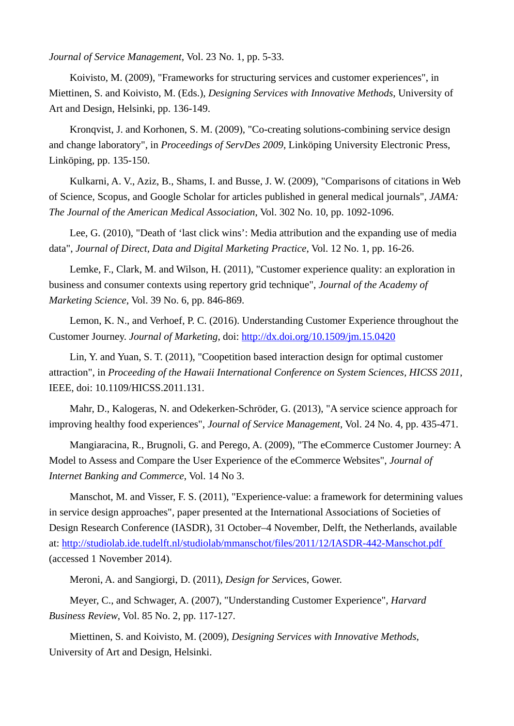*Journal of Service Management*, Vol. 23 No. 1, pp. 5-33.

Koivisto, M. (2009), "Frameworks for structuring services and customer experiences", in Miettinen, S. and Koivisto, M. (Eds.), *Designing Services with Innovative Methods*, University of Art and Design, Helsinki, pp. 136-149.

Kronqvist, J. and Korhonen, S. M. (2009), "Co-creating solutions-combining service design and change laboratory", in *Proceedings of ServDes 2009*, Linköping University Electronic Press, Linköping, pp. 135-150.

Kulkarni, A. V., Aziz, B., Shams, I. and Busse, J. W. (2009), "Comparisons of citations in Web of Science, Scopus, and Google Scholar for articles published in general medical journals", *JAMA: The Journal of the American Medical Association*, Vol. 302 No. 10, pp. 1092-1096.

Lee, G. (2010), "Death of 'last click wins': Media attribution and the expanding use of media data", *Journal of Direct, Data and Digital Marketing Practice*, Vol. 12 No. 1, pp. 16-26.

Lemke, F., Clark, M. and Wilson, H. (2011), "Customer experience quality: an exploration in business and consumer contexts using repertory grid technique", *Journal of the Academy of Marketing Science*, Vol. 39 No. 6, pp. 846-869.

Lemon, K. N., and Verhoef, P. C. (2016). Understanding Customer Experience throughout the Customer Journey. *Journal of Marketing*, doi:<http://dx.doi.org/10.1509/jm.15.0420>

Lin, Y. and Yuan, S. T. (2011), "Coopetition based interaction design for optimal customer attraction", in *Proceeding of the Hawaii International Conference on System Sciences, HICSS 2011*, IEEE, doi: 10.1109/HICSS.2011.131.

Mahr, D., Kalogeras, N. and Odekerken-Schröder, G. (2013), "A service science approach for improving healthy food experiences", *Journal of Service Management*, Vol. 24 No. 4, pp. 435-471.

Mangiaracina, R., Brugnoli, G. and Perego, A. (2009), "The eCommerce Customer Journey: A Model to Assess and Compare the User Experience of the eCommerce Websites", *Journal of Internet Banking and Commerce*, Vol. 14 No 3.

Manschot, M. and Visser, F. S. (2011), "Experience-value: a framework for determining values in service design approaches", paper presented at the International Associations of Societies of Design Research Conference (IASDR), 31 October–4 November, Delft, the Netherlands, available at:<http://studiolab.ide.tudelft.nl/studiolab/mmanschot/files/2011/12/IASDR-442-Manschot.pdf> (accessed 1 November 2014).

Meroni, A. and Sangiorgi, D. (2011), *Design for Serv*ices, Gower.

Meyer, C., and Schwager, A. (2007), "Understanding Customer Experience", *Harvard Business Review*, Vol. 85 No. 2, pp. 117-127.

Miettinen, S. and Koivisto, M. (2009), *Designing Services with Innovative Methods*, University of Art and Design, Helsinki.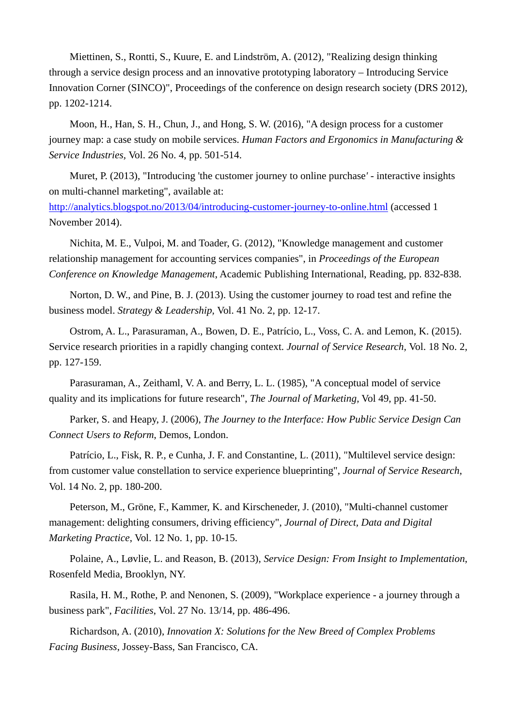Miettinen, S., Rontti, S., Kuure, E. and Lindström, A. (2012), "Realizing design thinking through a service design process and an innovative prototyping laboratory – Introducing Service Innovation Corner (SINCO)", Proceedings of the conference on design research society (DRS 2012), pp. 1202-1214.

Moon, H., Han, S. H., Chun, J., and Hong, S. W. (2016), "A design process for a customer journey map: a case study on mobile services. *Human Factors and Ergonomics in Manufacturing & Service Industries,* Vol. 26 No. 4, pp. 501-514.

Muret, P. (2013), "Introducing 'the customer journey to online purchase*'* - interactive insights on multi-channel marketing", available at:

<http://analytics.blogspot.no/2013/04/introducing-customer-journey-to-online.html> (accessed 1 November 2014).

Nichita, M. E., Vulpoi, M. and Toader, G. (2012), "Knowledge management and customer relationship management for accounting services companies", in *Proceedings of the European Conference on Knowledge Management*, Academic Publishing International, Reading, pp. 832-838.

Norton, D. W., and Pine, B. J. (2013). Using the customer journey to road test and refine the business model. *Strategy & Leadership,* Vol. 41 No. 2, pp. 12-17.

Ostrom, A. L., Parasuraman, A., Bowen, D. E., Patrício, L., Voss, C. A. and Lemon, K. (2015). Service research priorities in a rapidly changing context. *Journal of Service Research,* Vol. 18 No. 2, pp. 127-159.

Parasuraman, A., Zeithaml, V. A. and Berry, L. L. (1985), "A conceptual model of service quality and its implications for future research", *The Journal of Marketing,* Vol 49, pp. 41-50.

Parker, S. and Heapy, J. (2006), *The Journey to the Interface: How Public Service Design Can Connect Users to Reform*, Demos, London.

Patrício, L., Fisk, R. P., e Cunha, J. F. and Constantine, L. (2011), "Multilevel service design: from customer value constellation to service experience blueprinting", *Journal of Service Research*, Vol. 14 No. 2, pp. 180-200.

Peterson, M., Gröne, F., Kammer, K. and Kirscheneder, J. (2010), "Multi-channel customer management: delighting consumers, driving efficiency", *Journal of Direct, Data and Digital Marketing Practice*, Vol. 12 No. 1, pp. 10-15.

Polaine, A., Løvlie, L. and Reason, B. (2013), *Service Design: From Insight to Implementation*, Rosenfeld Media, Brooklyn, NY.

Rasila, H. M., Rothe, P. and Nenonen, S. (2009), "Workplace experience - a journey through a business park", *Facilities*, Vol. 27 No. 13/14, pp. 486-496.

Richardson, A. (2010), *Innovation X: Solutions for the New Breed of Complex Problems Facing Business*, Jossey-Bass, San Francisco, CA.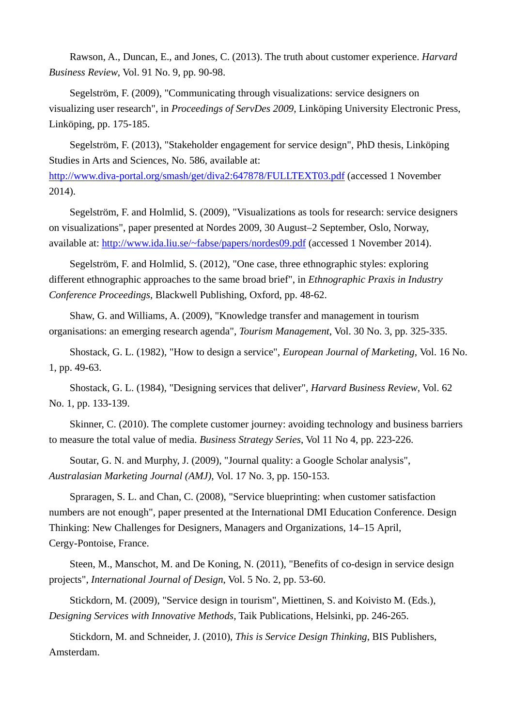Rawson, A., Duncan, E., and Jones, C. (2013). The truth about customer experience. *Harvard Business Review*, Vol. 91 No. 9, pp. 90-98.

Segelström, F. (2009), "Communicating through visualizations: service designers on visualizing user research", in *Proceedings of ServDes 2009*, Linköping University Electronic Press, Linköping, pp. 175-185.

Segelström, F. (2013), "Stakeholder engagement for service design", PhD thesis, Linköping Studies in Arts and Sciences, No. 586, available at:

<http://www.diva-portal.org/smash/get/diva2:647878/FULLTEXT03.pdf> (accessed 1 November 2014).

Segelström, F. and Holmlid, S. (2009), "Visualizations as tools for research: service designers on visualizations", paper presented at Nordes 2009, 30 August–2 September, Oslo, Norway, available at: [http://www.ida.liu.se/~fabse/papers/nordes09.pdf](http://www.ida.liu.se/%7Efabse/papers/nordes09.pdf) (accessed 1 November 2014).

Segelström, F. and Holmlid, S. (2012), "One case, three ethnographic styles: exploring different ethnographic approaches to the same broad brief", in *Ethnographic Praxis in Industry Conference Proceedings*, Blackwell Publishing, Oxford, pp. 48-62.

Shaw, G. and Williams, A. (2009), "Knowledge transfer and management in tourism organisations: an emerging research agenda", *Tourism Management*, Vol. 30 No. 3, pp. 325-335.

Shostack, G. L. (1982), "How to design a service", *European Journal of Marketing*, Vol. 16 No. 1, pp. 49-63.

Shostack, G. L. (1984), "Designing services that deliver", *Harvard Business Review*, Vol. 62 No. 1, pp. 133-139.

Skinner, C. (2010). The complete customer journey: avoiding technology and business barriers to measure the total value of media. *Business Strategy Series*, Vol 11 No 4, pp. 223-226.

Soutar, G. N. and Murphy, J. (2009), "Journal quality: a Google Scholar analysis", *Australasian Marketing Journal (AMJ)*, Vol. 17 No. 3, pp. 150-153.

Spraragen, S. L. and Chan, C. (2008), "Service blueprinting: when customer satisfaction numbers are not enough", paper presented at the International DMI Education Conference. Design Thinking: New Challenges for Designers, Managers and Organizations, 14–15 April, Cergy-Pontoise, France.

Steen, M., Manschot, M. and De Koning, N. (2011), "Benefits of co-design in service design projects", *International Journal of Design*, Vol. 5 No. 2, pp. 53-60.

Stickdorn, M. (2009), "Service design in tourism", Miettinen, S. and Koivisto M. (Eds.), *Designing Services with Innovative Methods*, Taik Publications, Helsinki, pp. 246-265.

Stickdorn, M. and Schneider, J. (2010), *This is Service Design Thinking*, BIS Publishers, Amsterdam.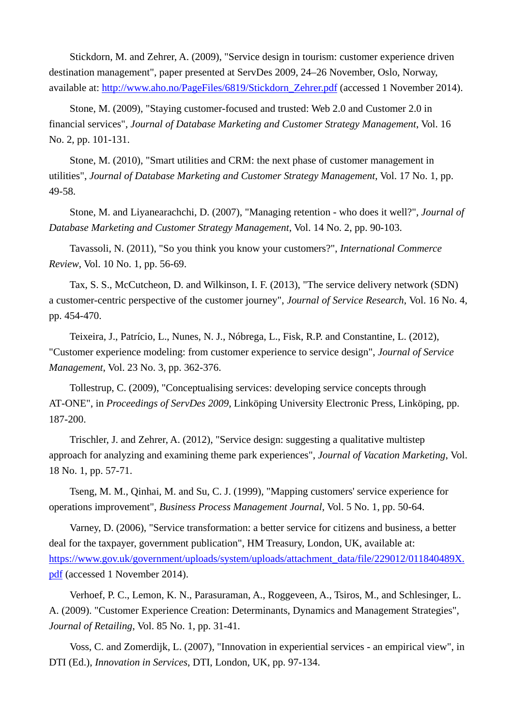Stickdorn, M. and Zehrer, A. (2009), "Service design in tourism: customer experience driven destination management", paper presented at ServDes 2009, 24–26 November, Oslo, Norway, available at: [http://www.aho.no/PageFiles/6819/Stickdorn\\_Zehrer.pdf](http://www.aho.no/PageFiles/6819/Stickdorn_Zehrer.pdf) (accessed 1 November 2014).

Stone, M. (2009), "Staying customer-focused and trusted: Web 2.0 and Customer 2.0 in financial services", *Journal of Database Marketing and Customer Strategy Management*, Vol. 16 No. 2, pp. 101-131.

Stone, M. (2010), "Smart utilities and CRM: the next phase of customer management in utilities", *Journal of Database Marketing and Customer Strategy Management*, Vol. 17 No. 1, pp. 49-58.

Stone, M. and Liyanearachchi, D. (2007), "Managing retention - who does it well?", *Journal of Database Marketing and Customer Strategy Management*, Vol. 14 No. 2, pp. 90-103.

Tavassoli, N. (2011), "So you think you know your customers?", *International Commerce Review*, Vol. 10 No. 1, pp. 56-69.

Tax, S. S., McCutcheon, D. and Wilkinson, I. F. (2013), "The service delivery network (SDN) a customer-centric perspective of the customer journey", *Journal of Service Research*, Vol. 16 No. 4, pp. 454-470.

Teixeira, J., Patrício, L., Nunes, N. J., Nóbrega, L., Fisk, R.P. and Constantine, L. (2012), "Customer experience modeling: from customer experience to service design", *Journal of Service Management*, Vol. 23 No. 3, pp. 362-376.

Tollestrup, C. (2009), "Conceptualising services: developing service concepts through AT-ONE", in *Proceedings of ServDes 2009*, Linköping University Electronic Press, Linköping, pp. 187-200.

Trischler, J. and Zehrer, A. (2012), "Service design: suggesting a qualitative multistep approach for analyzing and examining theme park experiences", *Journal of Vacation Marketing*, Vol. 18 No. 1, pp. 57-71.

Tseng, M. M., Qinhai, M. and Su, C. J. (1999), "Mapping customers' service experience for operations improvement", *Business Process Management Journal*, Vol. 5 No. 1, pp. 50-64.

Varney, D. (2006), "Service transformation: a better service for citizens and business, a better deal for the taxpayer, government publication", HM Treasury, London, UK, available at: [https://www.gov.uk/government/uploads/system/uploads/attachment\\_data/file/229012/011840489X.](https://www.gov.uk/government/uploads/system/uploads/attachment_data/file/229012/011840489X.pdf) [pdf](https://www.gov.uk/government/uploads/system/uploads/attachment_data/file/229012/011840489X.pdf) (accessed 1 November 2014).

Verhoef, P. C., Lemon, K. N., Parasuraman, A., Roggeveen, A., Tsiros, M., and Schlesinger, L. A. (2009). "Customer Experience Creation: Determinants, Dynamics and Management Strategies", *Journal of Retailing*, Vol. 85 No. 1, pp. 31-41.

Voss, C. and Zomerdijk, L. (2007), "Innovation in experiential services - an empirical view", in DTI (Ed.), *Innovation in Services*, DTI, London, UK, pp. 97-134.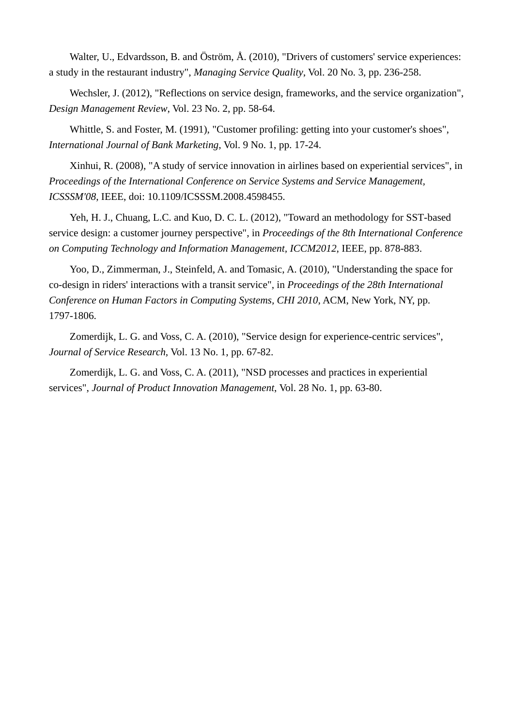Walter, U., Edvardsson, B. and Öström, Å. (2010), "Drivers of customers' service experiences: a study in the restaurant industry", *Managing Service Quality*, Vol. 20 No. 3, pp. 236-258.

Wechsler, J. (2012), "Reflections on service design, frameworks, and the service organization", *Design Management Review*, Vol. 23 No. 2, pp. 58-64.

Whittle, S. and Foster, M. (1991), "Customer profiling: getting into your customer's shoes", *International Journal of Bank Marketing*, Vol. 9 No. 1, pp. 17-24.

Xinhui, R. (2008), "A study of service innovation in airlines based on experiential services", in *Proceedings of the International Conference on Service Systems and Service Management, ICSSSM'08*, IEEE, doi: 10.1109/ICSSSM.2008.4598455.

Yeh, H. J., Chuang, L.C. and Kuo, D. C. L. (2012), "Toward an methodology for SST-based service design: a customer journey perspective", in *Proceedings of the 8th International Conference on Computing Technology and Information Management, ICCM2012*, IEEE, pp. 878-883.

Yoo, D., Zimmerman, J., Steinfeld, A. and Tomasic, A. (2010), "Understanding the space for co-design in riders' interactions with a transit service", in *Proceedings of the 28th International Conference on Human Factors in Computing Systems, CHI 2010*, ACM, New York, NY, pp. 1797-1806.

Zomerdijk, L. G. and Voss, C. A. (2010), "Service design for experience-centric services", *Journal of Service Research*, Vol. 13 No. 1, pp. 67-82.

Zomerdijk, L. G. and Voss, C. A. (2011), "NSD processes and practices in experiential services", *Journal of Product Innovation Management*, Vol. 28 No. 1, pp. 63-80.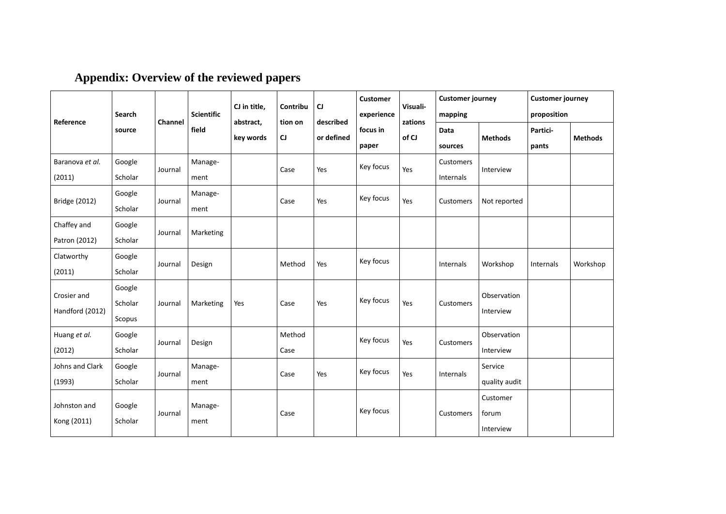## **Appendix: Overview of the reviewed papers**

|                      |         |         |                   | CJ in title,           | Contribu      | $\mathsf{C}$ | <b>Customer</b> | Visuali- | <b>Customer journey</b> |                | <b>Customer journey</b> |                |
|----------------------|---------|---------|-------------------|------------------------|---------------|--------------|-----------------|----------|-------------------------|----------------|-------------------------|----------------|
| Reference            | Search  | Channel | <b>Scientific</b> |                        |               | described    | experience      | zations  | mapping                 |                | proposition             |                |
|                      | source  |         | field             | abstract,<br>key words | tion on<br>CJ | or defined   | focus in        | of CJ    | Data                    | <b>Methods</b> | Partici-                | <b>Methods</b> |
|                      |         |         |                   |                        |               |              | paper           |          | sources                 |                | pants                   |                |
| Baranova et al.      | Google  | Journal | Manage-           |                        |               | Yes          | Key focus       |          | Customers               |                |                         |                |
| (2011)               | Scholar |         | ment              |                        | Case          |              |                 | Yes      | Internals               | Interview      |                         |                |
|                      | Google  | Journal | Manage-           |                        |               |              | Key focus       |          |                         |                |                         |                |
| <b>Bridge (2012)</b> | Scholar |         | ment              |                        | Case          | Yes          |                 | Yes      | Customers               | Not reported   |                         |                |
| Chaffey and          | Google  |         |                   |                        |               |              |                 |          |                         |                |                         |                |
| Patron (2012)        | Scholar | Journal | Marketing         |                        |               |              |                 |          |                         |                |                         |                |
| Clatworthy           | Google  |         |                   |                        | Method        | Yes          | Key focus       |          |                         |                |                         | Workshop       |
| (2011)               | Scholar | Journal | Design            |                        |               |              |                 |          | Internals               | Workshop       | Internals               |                |
| Crosier and          | Google  |         |                   |                        |               |              |                 |          |                         | Observation    |                         |                |
|                      | Scholar | Journal | Marketing         | Yes                    | Case          | Yes          | Key focus       | Yes      | Customers               |                |                         |                |
| Handford (2012)      | Scopus  |         |                   |                        |               |              |                 |          |                         | Interview      |                         |                |
| Huang et al.         | Google  |         |                   |                        | Method        |              | Key focus       |          |                         | Observation    |                         |                |
| (2012)               | Scholar | Journal | Design            |                        | Case          |              |                 | Yes      | Customers               | Interview      |                         |                |
| Johns and Clark      | Google  | Journal | Manage-           |                        | Case          | Yes          | Key focus       | Yes      | Internals               | Service        |                         |                |
| (1993)               | Scholar |         | ment              |                        |               |              |                 |          |                         | quality audit  |                         |                |
| Johnston and         |         |         |                   |                        |               |              |                 |          |                         | Customer       |                         |                |
|                      | Google  | Journal | Manage-           |                        | Case          |              | Key focus       |          | Customers               | forum          |                         |                |
| Kong (2011)          | Scholar |         | ment              |                        |               |              |                 |          |                         | Interview      |                         |                |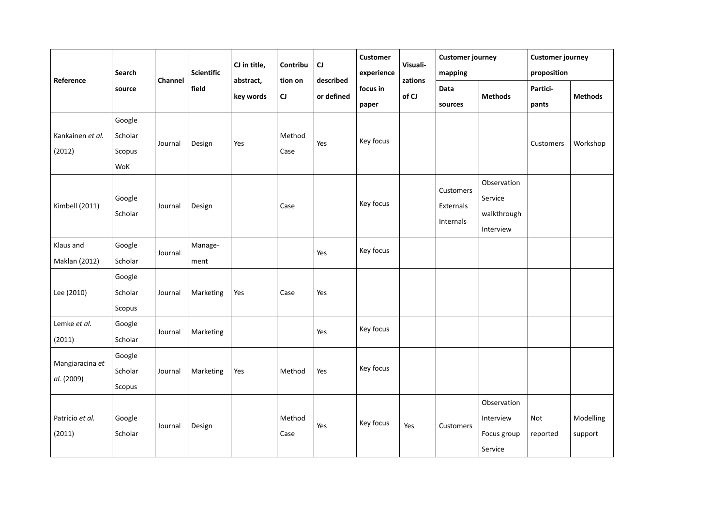|                               | Search                             |         | <b>Scientific</b> | CJ in title,           | Contribu<br>${\sf C}$<br>tion on<br>$\mathsf{C}$ |                         | Customer<br>experience | Visuali-         | <b>Customer journey</b><br>mapping  |                                                    | <b>Customer journey</b>                       |                      |
|-------------------------------|------------------------------------|---------|-------------------|------------------------|--------------------------------------------------|-------------------------|------------------------|------------------|-------------------------------------|----------------------------------------------------|-----------------------------------------------|----------------------|
| Reference                     | source                             | Channel | field             | abstract,<br>key words |                                                  | described<br>or defined | focus in<br>paper      | zations<br>of CJ | Data<br>sources                     | <b>Methods</b>                                     | proposition<br>Partici-<br>pants<br>Customers | <b>Methods</b>       |
| Kankainen et al.<br>(2012)    | Google<br>Scholar<br>Scopus<br>WoK | Journal | Design            | Yes                    | Method<br>Case                                   | Yes                     | Key focus              |                  |                                     |                                                    |                                               | Workshop             |
| Kimbell (2011)                | Google<br>Scholar                  | Journal | Design            |                        | Case                                             |                         | Key focus              |                  | Customers<br>Externals<br>Internals | Observation<br>Service<br>walkthrough<br>Interview |                                               |                      |
| Klaus and<br>Maklan (2012)    | Google<br>Scholar                  | Journal | Manage-<br>ment   |                        |                                                  | Yes                     | Key focus              |                  |                                     |                                                    |                                               |                      |
| Lee (2010)                    | Google<br>Scholar<br>Scopus        | Journal | Marketing         | Yes                    | Case                                             | Yes                     |                        |                  |                                     |                                                    |                                               |                      |
| Lemke et al.<br>(2011)        | Google<br>Scholar                  | Journal | Marketing         |                        |                                                  | Yes                     | Key focus              |                  |                                     |                                                    |                                               |                      |
| Mangiaracina et<br>al. (2009) | Google<br>Scholar<br>Scopus        | Journal | Marketing         | Yes                    | Method                                           | Yes                     | Key focus              |                  |                                     |                                                    |                                               |                      |
| Patrício et al.<br>(2011)     | Google<br>Scholar                  | Journal | Design            |                        | Method<br>Case                                   | Yes                     | Key focus              | Yes              | Customers                           | Observation<br>Interview<br>Focus group<br>Service | Not<br>reported                               | Modelling<br>support |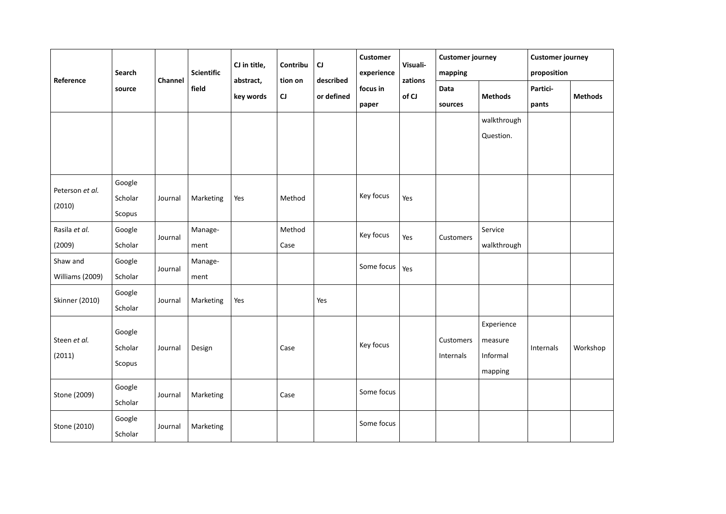|                             |                             |         | <b>Scientific</b><br>field | CJ in title,<br>abstract,<br>key words |                     |                        | <b>Customer</b>   |                  | <b>Customer journey</b> |                                              | <b>Customer journey</b> |                |
|-----------------------------|-----------------------------|---------|----------------------------|----------------------------------------|---------------------|------------------------|-------------------|------------------|-------------------------|----------------------------------------------|-------------------------|----------------|
| Reference                   | Search                      | Channel |                            |                                        | Contribu<br>tion on | ${\bf C}$<br>described | experience        | Visuali-         | mapping                 |                                              | proposition             |                |
|                             | source                      |         |                            |                                        | CJ                  | or defined             | focus in<br>paper | zations<br>of CJ | Data<br>sources         | <b>Methods</b>                               | Partici-<br>pants       | <b>Methods</b> |
|                             |                             |         |                            |                                        |                     |                        |                   |                  |                         | walkthrough<br>Question.                     |                         |                |
| Peterson et al.<br>(2010)   | Google<br>Scholar<br>Scopus | Journal | Marketing                  | Yes                                    | Method              |                        | Key focus         | Yes              |                         |                                              |                         |                |
| Rasila et al.<br>(2009)     | Google<br>Scholar           | Journal | Manage-<br>ment            |                                        | Method<br>Case      |                        | Key focus         | Yes              | Customers               | Service<br>walkthrough                       |                         |                |
| Shaw and<br>Williams (2009) | Google<br>Scholar           | Journal | Manage-<br>ment            |                                        |                     |                        | Some focus        | Yes              |                         |                                              |                         |                |
| <b>Skinner (2010)</b>       | Google<br>Scholar           | Journal | Marketing                  | Yes                                    |                     | Yes                    |                   |                  |                         |                                              |                         |                |
| Steen et al.<br>(2011)      | Google<br>Scholar<br>Scopus | Journal | Design                     |                                        | Case                |                        | Key focus         |                  | Customers<br>Internals  | Experience<br>measure<br>Informal<br>mapping | Internals               | Workshop       |
| Stone (2009)                | Google<br>Scholar           | Journal | Marketing                  |                                        | Case                |                        | Some focus        |                  |                         |                                              |                         |                |
| Stone (2010)                | Google<br>Scholar           | Journal | Marketing                  |                                        |                     |                        | Some focus        |                  |                         |                                              |                         |                |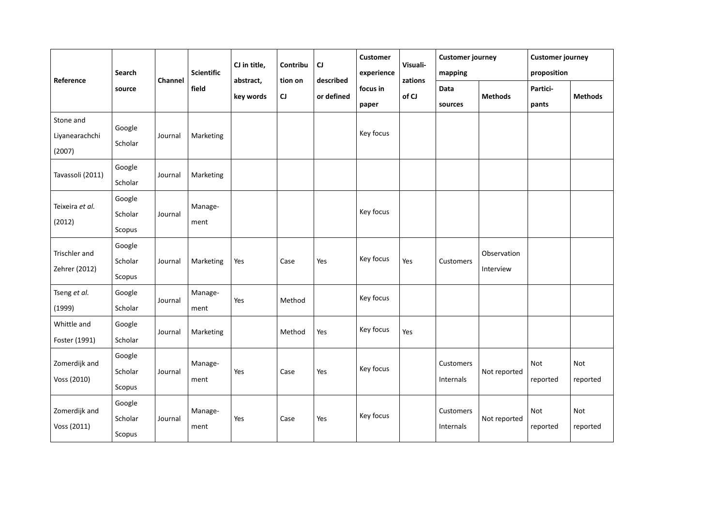|                                       |                             |         |                     | CJ in title,           | Contribu      | ${\sf C}$               | <b>Customer</b>                 | Visuali-<br>zations<br>of CJ | <b>Customer journey</b>    |                          | <b>Customer journey</b>          |                 |
|---------------------------------------|-----------------------------|---------|---------------------|------------------------|---------------|-------------------------|---------------------------------|------------------------------|----------------------------|--------------------------|----------------------------------|-----------------|
| Reference                             | Search<br>source            | Channel | Scientific<br>field | abstract,<br>key words | tion on<br>CJ | described<br>or defined | experience<br>focus in<br>paper |                              | mapping<br>Data<br>sources | <b>Methods</b>           | proposition<br>Partici-<br>pants | <b>Methods</b>  |
| Stone and<br>Liyanearachchi<br>(2007) | Google<br>Scholar           | Journal | Marketing           |                        |               |                         | Key focus                       |                              |                            |                          |                                  |                 |
| Tavassoli (2011)                      | Google<br>Scholar           | Journal | Marketing           |                        |               |                         |                                 |                              |                            |                          |                                  |                 |
| Teixeira et al.<br>(2012)             | Google<br>Scholar<br>Scopus | Journal | Manage-<br>ment     |                        |               |                         | Key focus                       |                              |                            |                          |                                  |                 |
| Trischler and<br>Zehrer (2012)        | Google<br>Scholar<br>Scopus | Journal | Marketing           | Yes                    | Case          | Yes                     | Key focus                       | Yes                          | Customers                  | Observation<br>Interview |                                  |                 |
| Tseng et al.<br>(1999)                | Google<br>Scholar           | Journal | Manage-<br>ment     | Yes                    | Method        |                         | Key focus                       |                              |                            |                          |                                  |                 |
| Whittle and<br>Foster (1991)          | Google<br>Scholar           | Journal | Marketing           |                        | Method        | Yes                     | Key focus                       | Yes                          |                            |                          |                                  |                 |
| Zomerdijk and<br>Voss (2010)          | Google<br>Scholar<br>Scopus | Journal | Manage-<br>ment     | Yes                    | Case          | Yes                     | Key focus                       |                              | Customers<br>Internals     | Not reported             | Not<br>reported                  | Not<br>reported |
| Zomerdijk and<br>Voss (2011)          | Google<br>Scholar<br>Scopus | Journal | Manage-<br>ment     | Yes                    | Case          | Yes                     | Key focus                       |                              | Customers<br>Internals     | Not reported             | Not<br>reported                  | Not<br>reported |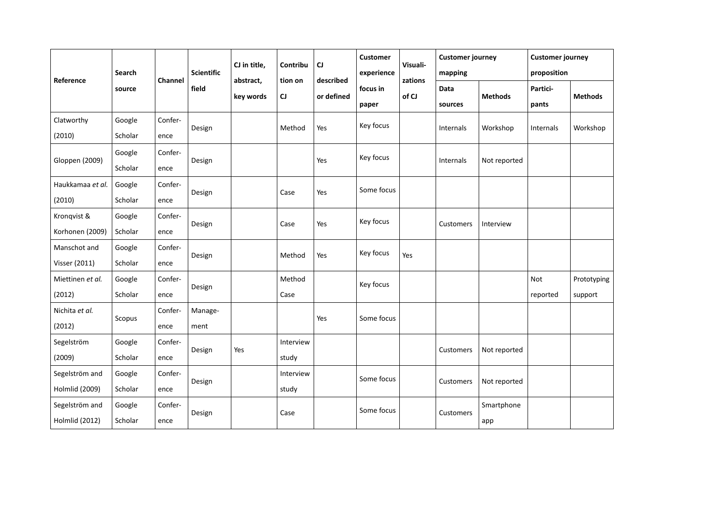|                       |         |         |                   | CJ in title, | Contribu     | $\mathbf{C}$ | Customer   | Visuali- | <b>Customer journey</b> |                | <b>Customer journey</b> |                |
|-----------------------|---------|---------|-------------------|--------------|--------------|--------------|------------|----------|-------------------------|----------------|-------------------------|----------------|
| Reference             | Search  | Channel | <b>Scientific</b> | abstract,    | tion on      | described    | experience | zations  | mapping                 |                | proposition             |                |
|                       | source  |         | field             | key words    | $\mathsf{C}$ | or defined   | focus in   | of CJ    | Data                    | <b>Methods</b> | Partici-                | <b>Methods</b> |
|                       |         |         |                   |              |              |              | paper      |          | sources                 |                | pants                   |                |
| Clatworthy            | Google  | Confer- | Design            |              | Method       | Yes          | Key focus  |          | Internals               | Workshop       | Internals               | Workshop       |
| (2010)                | Scholar | ence    |                   |              |              |              |            |          |                         |                |                         |                |
| Gloppen (2009)        | Google  | Confer- | Design            |              | Yes          | Key focus    |            |          |                         |                |                         |                |
|                       | Scholar | ence    |                   |              |              |              |            |          | Internals               | Not reported   |                         |                |
| Haukkamaa et al.      | Google  | Confer- |                   |              |              |              | Some focus |          |                         |                |                         |                |
| (2010)                | Scholar | ence    | Design            |              | Case         | Yes          |            |          |                         |                |                         |                |
| Kronqvist &           | Google  | Confer- |                   |              | Case         |              | Key focus  |          |                         |                |                         |                |
| Korhonen (2009)       | Scholar | ence    | Design            |              |              | Yes          |            |          | Customers               | Interview      |                         |                |
| Manschot and          | Google  | Confer- |                   |              | Method       | Yes          | Key focus  | Yes      |                         |                |                         |                |
| Visser (2011)         | Scholar | ence    | Design            |              |              |              |            |          |                         |                |                         |                |
| Miettinen et al.      | Google  | Confer- |                   |              | Method       |              | Key focus  |          |                         |                | <b>Not</b>              | Prototyping    |
| (2012)                | Scholar | ence    | Design            |              | Case         |              |            |          |                         |                | reported                | support        |
| Nichita et al.        |         | Confer- | Manage-           |              |              |              | Some focus |          |                         |                |                         |                |
| (2012)                | Scopus  | ence    | ment              |              |              | Yes          |            |          |                         |                |                         |                |
| Segelström            | Google  | Confer- |                   | Yes          | Interview    |              |            |          | Customers               | Not reported   |                         |                |
| (2009)                | Scholar | ence    | Design            |              | study        |              |            |          |                         |                |                         |                |
| Segelström and        | Google  | Confer- |                   |              | Interview    |              | Some focus |          |                         |                |                         |                |
| Holmlid (2009)        | Scholar | ence    | Design            |              | study        |              |            |          | Customers               | Not reported   |                         |                |
| Segelström and        | Google  | Confer- |                   |              |              |              | Some focus |          |                         | Smartphone     |                         |                |
| <b>Holmlid (2012)</b> | Scholar | ence    | Design            |              | Case         |              |            |          | Customers               | app            |                         |                |